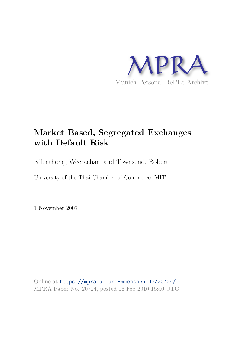

# **Market Based, Segregated Exchanges with Default Risk**

Kilenthong, Weerachart and Townsend, Robert

University of the Thai Chamber of Commerce, MIT

1 November 2007

Online at https://mpra.ub.uni-muenchen.de/20724/ MPRA Paper No. 20724, posted 16 Feb 2010 15:40 UTC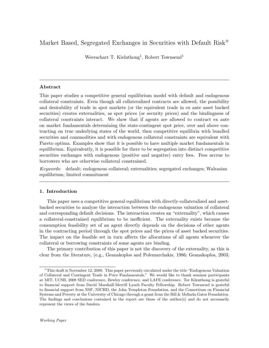# Market Based, Segregated Exchanges in Securities with Default Risk<sup> $\dot{\mathbf{x}}$ </sup>

Weerachart T. Kielnthong<sup>1</sup>, Robert Townsend<sup>1</sup>

# Abstract

This paper studies a competitive general equilibrium model with default and endogenous collateral constraints. Even though all collateralized contracts are allowed, the possibility and desirability of trade in spot markets (or the equivalent trade in ex ante asset backed securities) creates externalities, as spot prices (or security prices) and the bindingness of collateral constraints interact. We show that if agents are allowed to contract ex ante on market fundamentals determining the state-contingent spot price, over and above contracting on true underlying states of the world, then competitive equilibria with bundled securities and commodities and with endogenous collateral constraints are equivalent with Pareto optima. Examples show that it is possible to have multiple market fundamentals in equilibrium. Equivalently, it is possible for there to be segregation into distinct competitive securities exchanges with endogenous (positive and negative) entry fees. Fees accrue to borrowers who are otherwise collateral constrained.

Keywords: default; endogenous collateral; externalities; segregated exchanges; Walrasian equilibrium; limited commitment

# 1. Introduction

This paper uses a competitive general equilibrium with directly-collateralized and assetbacked securities to analyze the interaction between the endogenous valuation of collateral and corresponding default decisions. The interaction creates an "externality", which causes a collateral-constrained equilibrium to be inefficient. The externality exists because the consumption feasibility set of an agent directly depends on the decisions of other agents in the contracting period through the spot prices and the prices of asset backed securities. The impact on the feasible set in turn affects the allocations of all agents whenever the collateral or borrowing constraints of some agents are binding.

The primary contribution of this paper is not the discovery of the externality, as this is clear from the literature, (e.g., Geanakoplos and Polemarchakis, 1986; Geanakoplos, 2003;

<sup>✩</sup>This draft is November 12, 2009. This paper previously circulated under the title "Endogenous Valuation of Collateral and Contingent Trade in Price Fundamentals." We would like to thank seminar participants at MIT, UCSB, 2008 SED conference, Bewley conference, and LAFE conference. Tee Kilenthong is grateful to financial support from David Marshall-Merrill Lynch Faculty Fellowship. Robert Townsend is grateful to financial support from NSF, NICHD, the John Templeton Foundation, and the Consortium on Financial Systems and Poverty at the University of Chicago through a grant from the Bill & Melinda Gates Foundation. The findings and conclusions contained in the report are those of the author(s) and do not necessarily represent the views of the funders.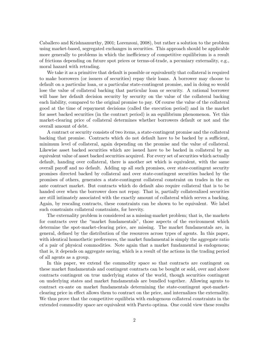Caballero and Krishnamurthy, 2001; Lorenzoni, 2008), but rather a solution to the problem using market-based, segregated exchanges in securities. This approach should be applicable more generally to problems in which the inefficiency of competitive equilibrium is a result of frictions depending on future spot prices or terms-of-trade, a pecuniary externality, e.g., moral hazard with retrading.

We take it as a primitive that default is possible or equivalently that collateral is required to make borrowers (or issuers of securities) repay their loans. A borrower may choose to default on a particular loan, or a particular state-contingent promise, and in doing so would lose the value of collateral backing that particular loan or security. A rational borrower will base her default decision security by security on the value of the collateral backing each liability, compared to the original promise to pay. Of course the value of the collateral good at the time of repayment decisions (called the execution period) and in the market for asset backed securities (in the contract period) is an equilibrium phenomenon. Yet this market-clearing price of collateral determines whether borrowers default or not and the overall amount of debt.

A contract or security consists of two items, a state-contingent promise and the collateral backing that promise. Contracts which do not default have to be backed by a sufficient, minimum level of collateral, again depending on the promise and the value of collateral. Likewise asset backed securities which are issued have to be backed in collateral by an equivalent value of asset backed securities acquired. For every set of securities which actually default, handing over collateral, there is another set which is equivalent, with the same overall payoff and no default. Adding up all such promises, over state-contingent security promises directed backed by collateral and over state-contingent securities backed by the promises of others, generates a state-contingent collateral constraint on trades in the ex ante contract market. But contracts which do default also require collateral that is to be handed over when the borrower does not repay. That is, partially collateralized securities are still intimately associated with the exactly amount of collateral which serves a backing. Again, by rescaling contracts, these constraints can be shown to be equivalent. We label such constraints collateral constraints, for brevity.

The externality problem is considered as a missing-market problem; that is, the markets for contracts over the "market fundamentals", those aspects of the environment which determine the spot-market-clearing price, are missing. The market fundamentals are, in general, defined by the distribution of the resources across types of agents. In this paper, with identical homothetic preferences, the market fundamental is simply the aggregate ratio of a pair of physical commodities. Note again that a market fundamental is endogenous; that is, it depends on aggregate saving, which is a result of the actions in the trading period of all agents as a group.

In this paper, we extend the commodity space so that contracts are contingent on these market fundamentals and contingent contracts can be bought or sold, over and above contracts contingent on true underlying states of the world, though securities contingent on underlying states and market fundamentals are bundled together. Allowing agents to contract ex-ante on market fundamentals determining the state-contingent spot-marketclearing price in effect allows them to contract on the price, and internalizes the externality. We thus prove that the competitive equilibria with endogenous collateral constraints in the extended commodity space are equivalent with Pareto optima. One could view these results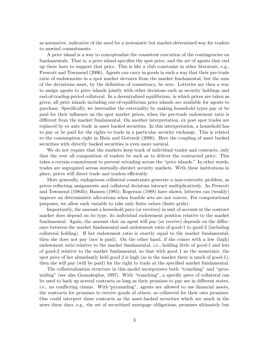as normative, indicative of the need for a systematic but market-determined way for traders to unwind commitments.

A price island is a way to conceptualize the consistent execution of the contingencies on fundamentals. That is, a price island specifies the spot price, and the set of agents that end up there have to support that price. This is like a club constraint in other literature, e.g., Prescott and Townsend (2006). Agents can carry in goods in such a way that their pre-trade ratio of endowments in a spot market deviates from the market fundamental, but the sum of the deviations must, by the definition of consistency, be zero. Lotteries are then a way to assign agents to price islands jointly with other decisions such as security holdings and end-of-trading-period collateral. In a decentralized equilibrium, in which prices are taken as given, all price islands including out-of-equilibrium price islands are available for agents to purchase. Specifically, we internalize the externality by making household types pay or be paid for their influence on the spot market prices, when the pre-trade endowment ratio is different from the market fundamental. On another interpretation, ex post spot trades are replaced by ex ante trade in asset backed securities. In this interpretation, a household has to pay or be paid for the rights to trade in a particular security exchange. This is related to the consumption right in Bisin and Gottardi (2006). Here the coupling of asset backed securities with directly backed securities is even more natural.

We do not require that the markets keep track of individual trades and contracts, only that the over all composition of traders be such as to deliver the contracted price. This takes a certain commitment to prevent retrading across the "price islands." In other words, trades are segregated across mutually-distinct security markets. With these institutions in place, prices will direct trade and traders efficiently.

More generally, endogenous collateral constraints generate a non-convexity problem, as prices reflecting assignments and collateral decisions interact multiplicatively. As Prescott and Townsend (1984b); Hansen (1985); Rogerson (1988) have shown, lotteries can (weakly) improve on deterministic allocations when feasible sets are not convex. For computational purposes, we allow each variable to take only finite values (finite grids).

Importantly, the amount a household pays (or receives) in unit of account in the contract market does depend on its type, its individual endowment position relative to the market fundamental. Again, the amount that an agent will pay (or receive) depends on the difference between the market fundamental and endowment ratio of good-1 to good-2 (including collateral holding). If her endowment ratio is exactly equal to the market fundamental, then she does not pay (nor is paid). On the other hand, if she comes with a low (high) endowment ratio relative to the market fundamental, i.e., holding little of good-1 and lots of good-2 relative to the market fundamental, so that with good 1 as the numeraire, the spot price of her abundantly held good 2 is high (as in the market there is much of good-1), then she will pay (will be paid) for the right to trade at the specified market fundamental.

The collateralization structure in this model incorporates both "tranching" and "pyramiding" (see also Geanakoplos, 1997). With "tranching", a specific piece of collateral can be used to back up several contracts as long as their promises to pay are in different states, i.e., no conflicting claims. With"pyramiding", agents are allowed to use financial assets, the contracts for promises to receive goods of others, as collateral for their own promises. One could interpret these contracts as the asset-backed securities which are much in the news these days, e.g., the set of securitized mortgage obligations, promises ultimately but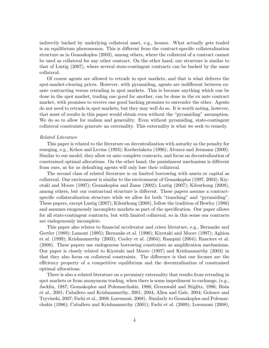indirectly backed by underlying collateral asset, e.g., houses. What actually gets traded is an equilibrium phenomenon. This is different from the contract-specific collateralization structure as in Geanakoplos (2003), among others, where the collateral of a contract cannot be used as collateral for any other contract. On the other hand, our structure is similar to that of Lustig (2007), where several state-contingent contracts can be backed by the same collateral.

Of course agents are allowed to retrade in spot markets, and that is what delivers the spot-market-clearing prices. However, with pyramiding, agents are indifferent between exante contracting versus retrading in spot markets. This is because anything which can be done in the spot market, trading one good for another, can be done in the ex ante contract market, with promises to receive one good backing promises to surrender the other. Agents do not need to retrade in spot markets, but they may well do so. It is worth noting, however, that most of results in this paper would obtain even without the "pyramiding" assumption. We do so to allow for realism and generality. Even without pyramiding, state-contingent collateral constraints generate an externality. This externality is what we seek to remedy.

#### Related Literature

This paper is related to the literature on decentralization with autarky as the penalty for reneging, e.g., Kehoe and Levine (1993); Kocherlakota (1996); Alvarez and Jermann (2000). Similar to our model, they allow ex ante complete contracts, and focus on decentralization of constrained optimal allocations. On the other hand, the punishment mechanism is different from ours, as for us defaulting agents will only lose their collateral.

The second class of related literature is on limited borrowing with assets or capital as collateral. Our environment is similar to the environment of Geanakoplos (1997, 2003); Kiyotaki and Moore (1997); Geanakoplos and Zame (2002); Lustig (2007); Kilenthong (2008), among others, but our contractual structure is different. These papers assume a contractspecific collateralization structure while we allow for both "tranching" and "pyramiding". These papers, except Lustig (2007); Kilenthong (2008), follow the tradition of Bewley (1986) and assumes exogenously incomplete markets as part of the specification. Our paper allows for all state-contingent contracts, but with limited collateral, so in this sense our contracts are endogenously incomplete.

This paper also relates to financial accelerator and crises literature, e.g., Bernanke and Gertler (1989); Lamont (1995); Bernanke et al. (1996); Kiyotaki and Moore (1997); Aghion et al. (1999); Krishnamurthy (2003); Cooley et al. (2004); Rampini (2004); Ranciere et al. (2008). These papers use endogenous borrowing constraints as amplification mechanisms. Our paper is closely related to Kiyotaki and Moore (1997) and Krishnamurthy (2003) in that they also focus on collateral constraints. The difference is that our focuses are the efficiency property of a competitive equilibrium and the decentralization of constrained optimal allocations.

There is also a related literature on a pecuniary externality that results from retrading in spot markets or from anonymous trading, when there is some impediment to exchange, (e.g., Jacklin, 1987; Geanakoplos and Polemarchakis, 1986; Greenwald and Stiglitz, 1986; Bisin et al., 2001; Caballero and Krishnamurthy, 2001, 2004; Allen and Gale, 2004; Golosov and Tsyvinski, 2007; Farhi et al., 2009; Lorenzoni, 2008). Similarly to Geanakoplos and Polemarchakis (1986); Caballero and Krishnamurthy (2001); Farhi et al. (2009); Lorenzoni (2008),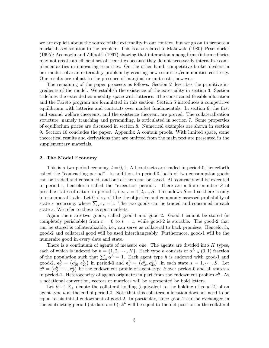we are explicit about the source of the externality in our context, but we go on to propose a market-based solution to the problem. This is also related to Makowski (1980); Pesendorfer (1995); Acemoglu and Zilibotti (1997) showing that interaction among firms/intermediaries may not create an efficient set of securities because they do not necessarily internalize complementarities in innovating securities. On the other hand, competitive broker dealers in our model solve an externality problem by creating new securities/commodities costlessly. Our results are robust to the presence of marginal or unit costs, however.

The remaining of the paper proceeds as follows. Section 2 describes the primitive ingredients of the model. We establish the existence of the externality in section 3. Section 4 defines the extended commodity space with lotteries. The constrained feasible allocation and the Pareto program are formulated in this section. Section 5 introduces a competitive equilibrium with lotteries and contracts over market fundamentals. In section 6, the first and second welfare theorems, and the existence theorem, are proved. The collateralization structure, namely tranching and pyramiding, is articulated in section 7. Some properties of equilibrium prices are discussed in section 8. Numerical examples are shown in section 9. Section 10 concludes the paper. Appendix A contain proofs. With limited space, some theoretical results and derivations that are omitted from the main text are presented in the supplementary materials.

#### 2. The Model Economy

This is a two-period economy,  $t = 0, 1$ . All contracts are traded in period-0, henceforth called the "contracting period". In addition, in period-0, both of two consumption goods can be traded and consumed, and one of them can be saved. All contracts will be executed in period-1, henceforth called the "execution period". There are a finite number  $S$  of possible states of nature in period-1, i.e.,  $s = 1, 2, ..., S$ . This allows  $S = 1$  so there is only intertemporal trade. Let  $0 < \pi_s < 1$  be the objective and commonly assessed probability of state s occurring, where  $\sum_{s} \pi_{s} = 1$ . The two goods can be traded and consumed in each state  $s$ . We refer to these as spot markets.

Again there are two goods, called good-1 and good-2. Good-1 cannot be stored (is completely perishable) from  $t = 0$  to  $t = 1$ , while good-2 is storable. The good-2 that can be stored is collateralizable, i.e., can serve as collateral to back promises. Henceforth, good-2 and collateral good will be used interchangeably. Furthermore, good-1 will be the numeraire good in every date and state.

There is a continuum of agents of measure one. The agents are divided into  $H$  types, each of which is indexed by  $h = \{1, 2, \dots, H\}$ . Each type h consists of  $\alpha^h \in (0, 1)$  fraction of the population such that  $\sum_h \alpha^h = 1$ . Each agent type h is endowed with good-1 and good-2,  $\mathbf{e}_0^h = (e_{10}^h, e_{20}^h)$  in period-0 and  $\mathbf{e}_s^h = (e_{1s}^h, e_{2s}^h)$ , in each state  $s = 1, \dots, S$ . Let  $\mathbf{e}^{h} = (\mathbf{e}_0^h, \dots, \mathbf{e}_S^h)$  be the endowment profile of agent type h over period-0 and all states s in period-1. Heterogeneity of agents originates in part from the endowment profiles  $e^{h}$ . As a notational convention, vectors or matrices will be represented by bold letters.

Let  $k^h \in \mathbb{R}_+$  denote the collateral holding (equivalent to the holding of good-2) of an agent type  $h$  at the end of period-0. Note that this collateral allocation does not need to be equal to his initial endowment of good-2. In particular, since good-2 can be exchanged in the contracting period (at date  $t = 0$ ),  $k<sup>h</sup>$  will be equal to the net-position in the collateral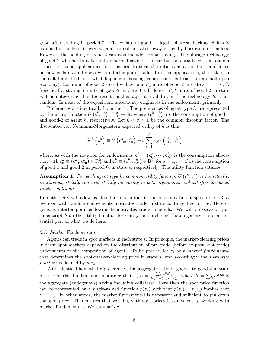good after trading in period-0. The collateral good as legal collateral backing claims is assumed to be kept in escrow, and cannot be taken away either by borrowers or lenders. However, the holding of good-2 can also include normal saving. The storage technology of good-2 whether in collateral or normal saving is linear but potentially with a random return. In some applications, it is natural to treat the returns as a constant, and focus on how collateral interacts with intertemporal trade. In other applications, the risk is in the collateral itself, i.e., what happens if housing values could fall (as if in a small open economy). Each unit of good-2 stored will become  $R_s$  units of good-2 in state  $s = 1, \dots, S$ . Specifically, storing I units of good-2 at date-0 will deliver  $R_sI$  units of good-2 in state s. It is noteworthy that the results in this paper are valid even if the technology  $R$  is not random. In most of the exposition, uncertainty originates in the endowment, primarily.

Preferences are identically homothetic. The preferences of agent type  $h$  are represented by the utility function  $U(c_1^h, c_2^h) : \mathbb{R}_+^2 \to \mathbb{R}$ , where  $(c_1^h, c_2^h)$  are the consumption of good-1 and good-2 of agent h, respectively. Let  $0 < \beta \leq 1$  be the common discount factor. The discounted von Neumann-Morgenstern expected utility of h is thus

$$
\mathscr{U}^h\left(\mathbf{c}^h\right) \equiv U\left(c_{10}^h, c_{20}^h\right) + \beta \sum_{s=1}^S \pi_s U\left(c_{1s}^h, c_{2s}^h\right)
$$

where, as with the notation for endowments,  $\mathbf{c}^h = (\mathbf{c}^h_0, \cdots, \mathbf{c}^h_S)$  is the consumption allocation with  $\mathbf{c}_0^h \equiv (c_{10}^h, c_{20}^h) \in \mathbb{R}^2_+$  and  $\mathbf{c}_s^h \equiv (c_{1s}^h, c_{2s}^h) \in \mathbb{R}^2_+$  for  $s = 1, \ldots, S$  as the consumption of good-1 and good-2 in period-0, in state  $s$ , respectively. The utility function satisfies

**Assumption 1.** For each agent type h, common utility function  $U(c_1^h, c_2^h)$  is homothetic, continuous, strictly concave, strictly increasing in both arguments, and satisfies the usual Inada conditions.

Homotheticity will allow us closed form solutions in the determination of spot prices. Risk aversion with random endowments motivates trade in state-contingent securities. Heterogeneous intertemporal endowments motivates trade in bonds. We will on occasion put superscript  $h$  on the utility function for clarity, but preference heterogeneity is not an essential part of what we do here.

#### 2.1. Market Fundamentals

Agents can trade in spot markets in each state  $s$ . In principle, the market-clearing prices in these spot markets depend on the distribution of pre-trade (before ex-post spot trade) endowments or the composition of agents. To be precise, let  $z_s$  be a market fundamental that determines the spot-market-clearing price in state  $s$ , and accordingly the *spot-price* function is defined by  $p(z_s)$ .

With identical homothetic preferences, the aggregate ratio of good-1 to good-2 in state s is the market fundamental in state s; that is,  $z_s = \frac{\sum_h \alpha^h e_{1s}^h}{R_s K + \sum_h \alpha^h e_{2s}^h}$ , where  $K = \sum_h \alpha^h k^h$  is the aggregate (endogenous) saving including collateral. Here then the spot price function can be represented by a single-valued function  $p(z_s)$  such that  $p(z_s) = p(z'_s)$  implies that  $z_s = z'_s$ . In other words, the market fundamental is necessary and sufficient to pin down the spot price. This ensures that working with spot prices is equivalent to working with market fundamentals. We summarize: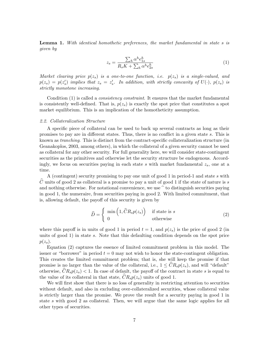**Lemma 1.** With identical homothetic preferences, the market fundamental in state  $s$  is given by

$$
z_s = \frac{\sum_h \alpha^h e_{1s}^h}{R_s K + \sum_h \alpha^h e_{2s}^h} \tag{1}
$$

Market clearing price  $p(z_s)$  is a one-to-one function, i.e.  $p(z_s)$  is a single-valued, and  $p(z_s) = p(z'_s)$  implies that  $z_s = z'_s$ . In addition, with strictly concavity of  $U(\cdot)$ ,  $p(z_s)$  is strictly monotone increasing.

Condition (1) is called a *consistency constraint*. It ensures that the market fundamental is consistently well-defined. That is,  $p(z<sub>s</sub>)$  is exactly the spot price that constitutes a spot market equilibrium. This is an implication of the homotheticity assumption.

#### 2.2. Collateralization Structure

A specific piece of collateral can be used to back up several contracts as long as their promises to pay are in different states. Thus, there is no conflict in a given state  $s$ . This is known as *tranching*. This is distinct from the contract-specific collateralization structure (in Geanakoplos, 2003, among others), in which the collateral of a given security cannot be used as collateral for any other security. For full generality here, we will consider state-contingent securities as the primitives and otherwise let the security structure be endogenous. Accordingly, we focus on securities paying in each state  $s$  with market fundamental  $z_s$ , one at a time.

A (contingent) security promising to pay one unit of good 1 in period-1 and state  $s$  with  $\hat{C}$  units of good 2 as collateral is a promise to pay a unit of good 1 if the state of nature is s and nothing otherwise. For notational convenience, we use  $\hat{}$  to distinguish securities paying in good 1, the numeraire, from securities paying in good 2. With limited commitment, that is, allowing default, the payoff of this security is given by

$$
\widehat{D} = \begin{cases}\n\min\left(1, \widehat{C}R_s p(z_s)\right) & \text{if state is } s \\
0 & \text{otherwise}\n\end{cases}
$$
\n(2)

where this payoff is in units of good 1 in period  $t = 1$ , and  $p(z_s)$  is the price of good 2 (in units of good  $1$ ) in state  $s$ . Note that this defaulting condition depends on the spot price  $p(z_s)$ .

Equation (2) captures the essence of limited commitment problem in this model. The issuer or "borrower" in period  $t = 0$  may not wish to honor the state-contingent obligation. This creates the limited commitment problem; that is, she will keep the promise if that promise is no larger than the value of the collateral, i.e.,  $1 \leq \widehat{C} R_s p(z_s)$ , and will "default" otherwise,  $\widehat{C}R_s p(z_s) < 1$ . In case of default, the payoff of the contract in state s is equal to the value of its collateral in that state,  $CR_s p(z_s)$  units of good 1.

We will first show that there is no loss of generality in restricting attention to securities without default, and also in excluding over-collateralized securities, whose collateral value is strictly larger than the promise. We prove the result for a security paying in good 1 in state  $s$  with good 2 as collateral. Then, we will argue that the same logic applies for all other types of securities.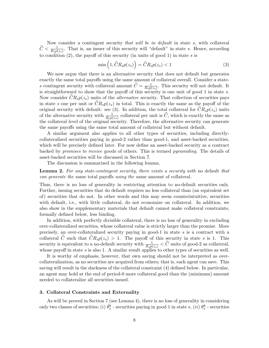Now consider a contingent security that will be in default in state  $s$ , with collateral  $\hat{C} < \frac{1}{R_s p(z_s)}$ . That is, an issuer of this security will "default" in state s. Hence, according to condition  $(2)$ , the payoff of this security (in units of good 1) in state s is

$$
\min\left(1,\widehat{C}R_s p(z_s)\right) = \widehat{C}R_s p(z_s) < 1\tag{3}
$$

We now argue that there is an alternative security that does not default but generates exactly the same total payoffs using the same amount of collateral overall. Consider a states contingent security with collateral amount  $\widetilde{C} = \frac{1}{R_s p}$  $\frac{1}{R_s p(z_s)}$ . This security will not default. It is straightforward to show that the payoff of this security is one unit of good 1 in state  $s$ . Now consider  $CR_s p(z_s)$  units of the *alternative* security. That collection of securities pays in state s one per unit or  $CR_s p(z_s)$  in total. This is exactly the same as the payoff of the original security with default: see (3). In addition, the total collateral for  $CR_s p(z_s)$  units of the alternative security with  $\frac{1}{R_s p(z_s)}$  collateral per unit is  $\widehat{C}$ , which is exactly the same as the collateral level of the original security. Therefore, the alternative security can generate the same payoffs using the same total amount of collateral but without default.

A similar argument also applies to all other types of securities, including directlycollateralized securities paying in good-2 rather than good-1, and asset-backed securities, which will be precisely defined later. For now define an asset-backed security as a contract backed by promises to receive goods of others. This is termed pyramiding. The details of asset-backed securities will be discussed in Section 7.

The discussion is summarized in the following lemma.

Lemma 2. For any state-contingent security, there exists a security with no default that can generate the same total payoffs using the same amount of collateral.

Thus, there is no loss of generality in restricting attention to no-default securities only. Further, issuing securities that do default requires no less collateral than (an equivalent set of) securities that do not. In other words and this may seem counterintuitive, securities with default, i.e., with little collateral, do not economize on collateral. In addition, we also show in the supplementary materials that default cannot make collateral constraints, formally defined below, less binding.

In addition, with perfectly divisible collateral, there is no loss of generality in excluding over-collateralized securities, whose collateral value is strictly larger than the promise. More precisely, an over-collateralized security paying in good-1 in state  $s$  is a contract with a collateral C such that  $CR_s p(z_s) > 1$ . The payoff of this security in state s is 1. This security is equivalent to a no-default security with  $\frac{1}{R_s p(z_s)} < \hat{C}$  units of good-2 as collateral, whose payoff in state  $s$  is also 1. A similar result applies to other types of securities as well.

It is worthy of emphasis, however, that own saving should not be interpreted as overcollateralization, as no securities are acquired from others; that is, each agent can save. This saving will result in the slackness of the collateral constraint (4) defined below. In particular, an agent may hold at the end of period-0 more collateral good than the (minimum) amount needed to collateralize all securities issued.

# 3. Collateral Constraints and Externality

As will be proved in Section 7 (see Lemma 4), there is no loss of generality in considering only two classes of securities; (*i*)  $\hat{\theta}_s^h$  - securities paying in good 1 in state *s*, (*ii*)  $\theta_s^h$  - securities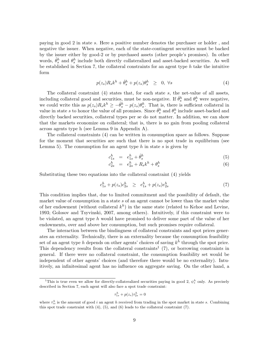paying in good 2 in state s. Here a positive number denotes the purchaser or holder, and negative the issuer. When negative, each of the state-contingent securities must be backed by the issuer either by good-2 or by purchased assets (other people's promises). In other words,  $\hat{\theta}_s^h$  and  $\theta_s^h$  include both directly collateralized and asset-backed securities. As well be established in Section 7, the collateral constraints for an agent type  $h$  take the intuitive form

$$
p(z_s)R_sk^h + \hat{\theta}_s^h + p(z_s)\theta_s^h \geq 0, \ \forall s \tag{4}
$$

The collateral constraint  $(4)$  states that, for each state s, the net-value of all assets, including collateral good and securities, must be non-negative. If  $\hat{\theta}_s^h$  and  $\theta_s^h$  were negative, we could write this as  $p(z_s)R_sk^h \ge -\hat{\theta}_s^h - p(z_s)\theta_s^h$ . That is, there is sufficient collateral in value in state s to honor the value of all promises. Since  $\hat{\theta}_{s}^{h}$  and  $\theta_{s}^{h}$  include asset-backed and directly backed securities, collateral types per se do not matter. In addition, we can show that the markets economize on collateral; that is, there is no gain from pooling collateral across agents type h (see Lemma 9 in Appendix A).

The collateral constraints (4) can be written in consumption space as follows. Suppose for the moment that securities are such that there is no spot trade in equilibrium (see Lemma 5). The consumption for an agent type  $h$  in state  $s$  is given by

$$
c_{1s}^h = e_{1s}^h + \hat{\theta}_s^h \tag{5}
$$

$$
c_{2s}^h = e_{2s}^h + R_s k^h + \theta_s^h \tag{6}
$$

Substituting these two equations into the collateral constraint (4) yields

$$
c_{1s}^h + p(z_s)c_{2s}^h \geq e_{1s}^h + p(z_s)e_{2s}^h \tag{7}
$$

This condition implies that, due to limited commitment and the possibility of default, the market value of consumption in a state  $s$  of an agent cannot be lower than the market value of her endowment (without collateral  $k^h$ ) in the same state (related to Kehoe and Levine, 1993; Golosov and Tsyvinski, 2007, among others). Intuitively, if this constraint were to be violated, an agent type h would have promised to deliver some part of the value of her endowments, over and above her consumption, but such promises require collateral.

The interaction between the bindingness of collateral constraints and spot prices generates an externality. Technically, there is an externality because the consumption feasibility set of an agent type h depends on other agents' choices of saving  $k^{\tilde{h}}$  through the spot price. This dependency results from the collateral constraints<sup>1</sup> (7), or borrowing constraints in general. If there were no collateral constraint, the consumption feasibility set would be independent of other agents' choices (and therefore there would be no externality). Intuitively, an infinitesimal agent has no influence on aggregate saving. On the other hand, a

$$
\tau_{1s}^h + p(z_s)\tau_{2s}^h = 0
$$

<sup>&</sup>lt;sup>1</sup>This is true even we allow for directly-collateralized securities paying in good 2,  $\psi_s^h$  only. As precisely described in Section 7, each agent will also face a spot trade constraint:

where  $\tau_{is}^h$  is the amount of good i an agent h received from trading in the spot market in state s. Combining this spot trade constraint with  $(4)$ ,  $(5)$ , and  $(6)$  leads to the collateral constraint  $(7)$ .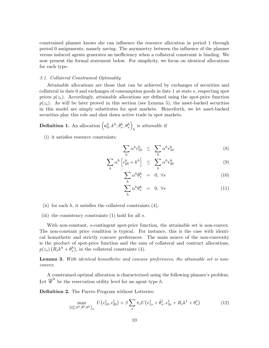constrained planner knows she can influence the resource allocation in period 1 through period 0 assignments, namely saving. The asymmetry between the influence of the planner versus induced agents generates an inefficiency when a collateral constraint is binding. We now present the formal statement below. For simplicity, we focus on identical allocations for each type.

#### 3.1. Collateral Constrained Optimality

Attainable allocations are those that can be achieved by exchanges of securities and collateral in date 0 and exchanges of consumption goods in date 1 at state  $s$ , respecting spot prices  $p(z_s)$ . Accordingly, attainable allocations are defined using the spot-price function  $p(z_s)$ . As will be later proved in this section (see Lemma 5), the asset-backed securities in this model are simply substitutes for spot markets. Henceforth, we let asset-backed securities play this role and shut down active trade in spot markets.

**Definition 1.** An allocation  $\left(\mathbf{c}_0^h, k^h, \hat{\theta}_s^h, \theta_s^h\right)$ is *attainable* if

(i) it satisfies resource constraints:

$$
\sum_{h} \alpha^h c_{10}^h \leq \sum_{h} \alpha^h e_{10}^h \tag{8}
$$

$$
\sum_{h} \alpha^{h} \left[ c_{20}^{h} + k^{h} \right] \leq \sum_{h} \alpha^{h} e_{20}^{h} \tag{9}
$$

$$
\sum_{h} \alpha^{h} \hat{\theta}_{s}^{h} = 0, \forall s \tag{10}
$$

$$
\sum_{h} \alpha^{h} \theta_{s}^{h} = 0, \forall s \tag{11}
$$

- (ii) for each  $h$ , it satisfies the collateral constraints  $(4)$ ,
- (iii) the consistency constraints  $(1)$  hold for all  $s$ .

With non-constant, s-contingent spot-price function, the attainable set is non-convex. The non-constant price condition is typical. For instance, this is the case with identical homothetic and strictly concave preferences. The main source of the non-convexity is the product of spot-price function and the sum of collateral and contract allocations,  $p(z_s)$   $(R_s k^h + \theta_s^h)$ , in the collateral constraints (4).

**Lemma 3.** With identical homothetic and concave preferences, the attainable set is nonconvex.

A constrained optimal allocation is characterized using the following planner's problem. Let  $\overline{\mathscr{U}}^h$  be the reservation utility level for an agent type h.

Definition 2. The Pareto Program without Lotteries:

$$
\max_{\left(\mathbf{c}_0^h, k^h, \hat{\theta}^h, \theta^h\right)_h} U\left(c_{10}^1, c_{20}^1\right) + \beta \sum_s \pi_s U\left(e_{1s}^1 + \hat{\theta}_s^1, e_{2s}^1 + R_s k^1 + \theta_s^1\right) \tag{12}
$$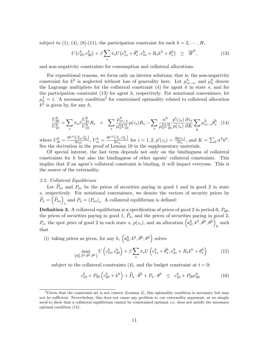subject to (1), (4), (8)-(11), the participation constraint for each  $h = 2, \dots, H$ ,

$$
U\big(c_{10}^h, c_{20}^h\big) + \beta \sum_s \pi_s U\big(e_{1s}^h + \hat{\theta}_s^h, e_{2s}^h + R_s k^h + \theta_s^h\big) \geq \overline{\mathscr{U}}^h,
$$
\n(13)

and non-negativity constraints for consumption and collateral allocations.

For expositional reasons, we focus only on interior solutions; that is, the non-negativity constraint for  $k^h$  is neglected without loss of generality here. Let  $\mu_{cc-s}^h$ , and  $\mu_{\bar{u}}^h$  denote the Lagrange multipliers for the collateral constraint  $(4)$  for agent  $h$  in state  $s$ , and for the participation constraint  $(13)$  for agent  $h$ , respectively. For notational convenience, let  $\mu_{\bar{u}}^1 = 1$ . A necessary condition<sup>2</sup> for constrained optimality related to collateral allocation  $k^h$  is given by, for any h,

$$
\frac{U_{20}^h}{U_{10}^h} = \sum_s \pi_s \beta \frac{U_{2s}^h}{U_{10}^h} R_s + \sum_s \frac{\mu_{cc-s}^h}{\mu_{\bar{u}}^h U_{10}^h} p(z_s) R_s - \sum_s \frac{\alpha^h}{\mu_{\bar{u}}^h U_{10}^h} \frac{p'(z_s)}{p(z_s)} \frac{\partial z_s}{\partial K} \sum_{\tilde{h}} \mu_{cc-s}^{\tilde{h}} \hat{\theta}_s^{\tilde{h}} \tag{14}
$$

where  $U_{i0}^h = \frac{\partial U^h(c_{10}^h, c_{20}^h)}{\partial c_{i0}}$  $\frac{\left(c_{10}^{h}, c_{20}^{h}\right)}{\partial c_{i0}}, \, U_{is}^{h} = \frac{\partial U^{h}\left(c_{1s}^{h}, c_{2s}^{h}\right)}{\partial c_{is}}$  $\frac{(c_{1s}^n, c_{2s}^n)}{\partial c_{is}}$  for  $i = 1, 2$ ,  $p'(z_s) = \frac{\partial p(z_s)}{\partial z_s}$ , and  $K = \sum_h \alpha^h k^h$ . See the derivation in the proof of Lemma 10 in the supplementary materials.

Of special interest, the last term depends not only on the bindingness of collateral constraints for h but also the bindingness of other agents' collateral constraints. This implies that if an agent's collateral constraint is binding, it will impact everyone. This is the source of the externality.

#### 3.2. Collateral Equilibrium

 $\overline{c}$ 

Let  $\hat{P}_{as}$  and  $P_{as}$  be the prices of securities paying in good 1 and in good 2 in state s, respectively. For notational convenience, we denote the vectors of security prices by  $\hat{P}_a = (\hat{P}_{as})_s$  and  $P_a = (P_{as})_s$ . A collateral equilibrium is defined:

**Definition 3.** A collateral equilibrium is a specification of prices of good 2 in period-0,  $P_{20}$ , the prices of securities paying in good 1,  $\hat{P}_a$ , and the prices of securities paying in good 2,  $P_a$ , the spot price of good 2 in each state s,  $p(z_s)$ , and an allocation  $\left(\mathbf{c}_0^h, k^h, \hat{\theta}^h, \theta^h\right)$  $h$  such that

(i) taking prices as given, for any h,  $(\mathbf{c}_0^h, k^h, \hat{\theta}^h, \theta^h)$  solves

$$
\max_{\mathbf{c}_0^h, k^h, \hat{\theta}^h, \theta^h} U\left(c_{10}^h, c_{20}^h\right) + \beta \sum_s \pi_s U\left(e_{1s}^h + \hat{\theta}_s^h, e_{2s}^h + R_s k^h + \theta_s^h\right) \tag{15}
$$

subject to the collateral constraints (4), and the budget constraint at  $t = 0$ :

$$
c_{10}^h + P_{20} \left( c_{20}^h + k^h \right) + \hat{P}_a \cdot \hat{\theta}^h + P_a \cdot \theta^h \leq e_{10}^h + P_{20} e_{20}^h \tag{16}
$$

 ${}^{2}$ Given that the constraint set is not convex (Lemma 3), this optimality condition is necessary but may not be sufficient. Nevertheless, this does not cause any problem to our externality argument, as we simply need to show that a collateral equilibrium cannot be constrained optimal, i.e. does not satisfy the necessary optimal condition (14).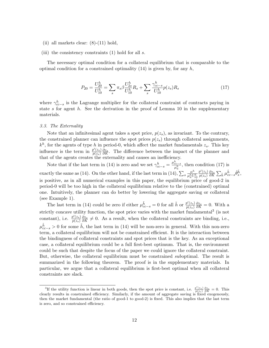- (ii) all markets clear:  $(8)-(11)$  hold,
- (iii) the consistency constraints  $(1)$  hold for all s.

The necessary optimal condition for a collateral equilibrium that is comparable to the optimal condition for a constrained optimality  $(14)$  is given by, for any h,

$$
P_{20} = \frac{U_{20}^h}{U_{10}^h} = \sum_s \pi_s \beta \frac{U_{2s}^h}{U_{10}^h} R_s + \sum_s \frac{\gamma_{cc-s}^h}{U_{10}^h} p(z_s) R_s \tag{17}
$$

where  $\gamma_{cc-s}^h$  is the Lagrange multiplier for the collateral constraint of contracts paying in state s for agent  $h$ . See the derivation in the proof of Lemma 10 in the supplementary materials.

#### 3.3. The Externality

Note that an infinitesimal agent takes a spot price,  $p(z_s)$ , as invariant. To the contrary, the constrained planner can influence the spot prices  $p(z_s)$  through collateral assignments,  $k^h$ , for the agents of type h in period-0, which affect the market fundamentals  $z_s$ . This key influence is the term in  $\frac{p'(z_s)}{p(z_s)}$  $p(z_{s})$  $\frac{\partial z_s}{\partial K}$ . The difference between the impact of the planner and that of the agents creates the externality and causes an inefficiency.

Note that if the last term in (14) is zero and we set  $\gamma_{cc-s}^h = \frac{\mu_{cc-s}^h}{\mu_a^h}$  $\frac{cc-s}{\mu_a^h}$ , then condition (17) is exactly the same as (14). On the other hand, if the last term in (14),  $\sum_s \frac{\alpha^h}{\mu_s^h U}$  $\overline{\mu^h_{\bar{u}} U^h_{10}}$  $p'(z_s)$  $p(z_{s})$  $\frac{\partial z_{s}}{\partial K}\sum_{\tilde{h}}\mu_{cc-s}^{\tilde{h}}\hat{\theta}_{s}^{\tilde{h}},$ is positive, as in all numerical examples in this paper, the equilibrium price of good-2 in period-0 will be too high in the collateral equilibrium relative to the (constrained) optimal one. Intuitively, the planner can do better by lowering the aggregate saving or collateral (see Example 1).

The last term in (14) could be zero if either  $\mu_{cc-s}^{\tilde{h}} = 0$  for all  $\tilde{h}$  or  $\frac{p'(z_s)}{p(z_s)}$  $p(z_{s})$  $\frac{\partial z_s}{\partial K} = 0$ . With a strictly concave utility function, the spot price varies with the market fundamental<sup>3</sup> (is not constant), i.e.  $\frac{p'(z_s)}{p(z_s)}$  $p(z_{s})$  $\frac{\partial z_s}{\partial K} \neq 0$ . As a result, when the collateral constraints are binding, i.e.,  $\mu_{cc-s}^{\tilde{h}} > 0$  for some  $\tilde{h}$ , the last term in (14) will be non-zero in general. With this non-zero term, a collateral equilibrium will not be constrained efficient. It is the interaction between the bindingness of collateral constraints and spot prices that is the key. As an exceptional case, a collateral equilibrium could be a full first-best optimum. That is, the environment could be such that despite the focus of the paper we could ignore the collateral constraint. But, otherwise, the collateral equilibrium must be constrained *suboptimal*. The result is summarized in the following theorem. The proof is in the supplementary materials. In particular, we argue that a collateral equilibrium is first-best optimal when all collateral constraints are slack.

<sup>&</sup>lt;sup>3</sup>If the utility function is linear in both goods, then the spot price is constant, i.e.  $\frac{p'(z_s)}{p(z_s)} \frac{\partial z_s}{\partial K} = 0$ . This clearly results in constrained efficiency. Similarly, if the amount of aggregate saving is fixed exogenously, then the market fundamental (the ratio of good-1 to good-2) is fixed. This also implies that the last term is zero, and so constrained efficiency.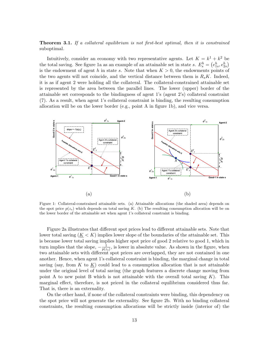Theorem 3.1. If a collateral equilibrium is not first-best optimal, then it is constrained suboptimal.

Intuitively, consider an economy with two representative agents. Let  $K = k^1 + k^2$  be the total saving. See figure 1a as an example of an attainable set in state *s*.  $E_s^h = (e_{1s}^h, e_{2s}^h)$ is the endowment of agent h in state s. Note that when  $K > 0$ , the endowments points of the two agents will not coincide, and the vertical distance between them is  $R_s K$ . Indeed, it is as if agent 2 were holding all the collateral. The collateral-constrained attainable set is represented by the area between the parallel lines. The lower (upper) border of the attainable set corresponds to the bindingness of agent 1's (agent 2's) collateral constraint (7). As a result, when agent 1's collateral constraint is binding, the resulting consumption allocation will be on the lower border (e.g., point A in figure 1b), and vice versa.



Figure 1: Collateral-constrained attainable sets. (a) Attainable allocations (the shaded area) depends on the spot price  $p(z_s)$  which depends on total saving K. (b) The resulting consumption allocation will be on the lower border of the attainable set when agent 1's collateral constraint is binding.

Figure 2a illustrates that different spot prices lead to different attainable sets. Note that lower total saving  $(K < K)$  implies lower slope of the boundaries of the attainable set. This is because lower total saving implies higher spot price of good 2 relative to good 1, which in turn implies that the slope,  $-\frac{1}{n(z)}$  $\frac{1}{p(z_s)}$ , is lower in absolute value. As shown in the figure, when two attainable sets with different spot prices are overlapped, they are not contained in one another. Hence, when agent 1's collateral constraint is binding, the marginal change in total saving (say, from  $K$  to  $K$ ) could lead to a consumption allocation that is not attainable under the original level of total saving (the graph features a discrete change moving from point A to new point B which is not attainable with the overall total saving  $K$ ). This marginal effect, therefore, is not priced in the collateral equilibrium considered thus far. That is, there is an externality.

On the other hand, if none of the collateral constraints were binding, this dependency on the spot price will not generate the externality. See figure 2b. With no binding collateral constraints, the resulting consumption allocations will be strictly inside (interior of) the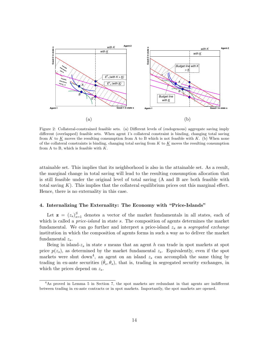

Figure 2: Collateral-constrained feasible sets. (a) Different levels of (endogenous) aggregate saving imply different (overlapped) feasible sets. When agent 1's collateral constraint is binding, changing total saving from  $K$  to  $K$  moves the resulting consumption from A to B which is not feasible with  $K$ . (b) When none of the collateral constraints is binding, changing total saving from  $K$  to  $K$  moves the resulting consumption from A to B, which is feasible with  $K$ .

attainable set. This implies that its neighborhood is also in the attainable set. As a result, the marginal change in total saving will lead to the resulting consumption allocation that is still feasible under the original level of total saving (A and B are both feasible with total saving  $K$ ). This implies that the collateral equilibrium prices out this marginal effect. Hence, there is no externality in this case.

#### 4. Internalizing The Externality: The Economy with "Price-Islands"

Let  $z = (z_s)_{s=1}^S$  denotes a vector of the market fundamentals in all states, each of which is called a  $price\text{-}island$  in state s. The composition of agents determines the market fundamental. We can go further and interpret a price-island  $z_s$  as a segregated exchange institution in which the composition of agents forms in such a way as to deliver the market fundamental  $z_s$ .

Being in island- $z_s$  in state s means that an agent h can trade in spot markets at spot price  $p(z_s)$ , as determined by the market fundamental  $z_s$ . Equivalently, even if the spot markets were shut down<sup>4</sup>, an agent on an island  $z_s$  can accomplish the same thing by trading in ex-ante securities  $(\hat{\theta}_s, \theta_s)$ , that is, trading in segregated security exchanges, in which the prices depend on  $z_s$ .

<sup>4</sup>As proved in Lemma 5 in Section 7, the spot markets are redundant in that agents are indifferent between trading in ex-ante contracts or in spot markets. Importantly, the spot markets are opened.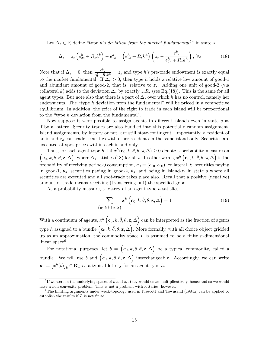Let  $\Delta_s \in \mathbb{R}$  define "type *h*'s *deviation from the market fundamental*<sup>5"</sup> in state *s*.

$$
\Delta_s = z_s \left( e_{2s}^h + R_s k^h \right) - e_{1s}^h = \left( e_{2s}^h + R_s k^h \right) \left( z_s - \frac{e_{1s}^h}{e_{2s}^h + R_s k^h} \right), \ \forall s \tag{18}
$$

Note that if  $\Delta_s = 0$ , then  $\frac{e_{1s}^h}{e_{2s}^h + R_s k^h} = z_s$  and type h's pre-trade endowment is exactly equal to the market fundamental. If  $\Delta_s > 0$ , then type h holds a relative low amount of good-1 and abundant amount of good-2, that is, relative to  $z_s$ . Adding one unit of good-2 (via collateral k) adds to the deviation  $\Delta_s$  by exactly  $z_s R_s$  (see Eq.(18)). This is the same for all agent types. But note also that there is a part of  $\Delta_s$  over which h has no control, namely her endowments. The "type  $h$  deviation from the fundamental" will be priced in a competitive equilibrium. In addition, the price of the right to trade in each island will be proportional to the "type  $h$  deviation from the fundamental".

Now suppose it were possible to assign agents to different islands even in state  $s$  as if by a lottery. Security trades are also bundled into this potentially random assignment. Island assignments, by lottery or not, are still state-contingent. Importantly, a resident of an island- $z_s$  can trade securities with other residents in the same island only. Securities are executed at spot prices within each island only.

Thus, for each agent type h, let  $x^h(\mathbf{c}_0, k, \hat{\theta}, \theta, \mathbf{z}, \Delta) \ge 0$  denote a probability measure on  $(c_0, k, \hat{\theta}, \theta, \mathbf{z}, \Delta)$ , where  $\Delta_s$  satisfies (18) for all s. In other words,  $x^h(c_0, k, \hat{\theta}, \theta, \mathbf{z}, \Delta)$  is the probability of receiving period-0 consumption,  $\mathbf{c}_0 \equiv (c_{10}, c_{20})$ , collateral, k, securities paying in good-1,  $\theta_s$ , securities paying in good-2,  $\theta_s$ , and being in island- $z_s$  in state s where all securities are executed and all spot-trade takes place also. Recall that a positive (negative) amount of trade means receiving (transferring out) the specified good.

As a probability measure, a lottery of an agent type  $h$  satisfies

$$
\sum_{(\mathbf{c}_0,k,\hat{\theta},\theta,\mathbf{z},\Delta)} x^h\left(\mathbf{c}_0,k,\hat{\theta},\theta,\mathbf{z},\Delta\right) = 1
$$
\n(19)

With a continuum of agents,  $x^h\left(\mathbf{c}_0, k, \hat{\theta}, \theta, \mathbf{z}, \Delta\right)$  can be interpreted as the fraction of agents type h assigned to a bundle  $(c_0, k, \hat{\theta}, \theta, \mathbf{z}, \Delta)$ . More formally, with all choice object gridded up as an approximation, the commodity space  $L$  is assumed to be a finite *n*-dimensional  $linear space<sup>6</sup>.$ 

For notational purposes, let  $b = (\mathbf{c}_0, k, \hat{\theta}, \theta, \mathbf{z}, \Delta)$  be a typical commodity, called a bundle. We will use b and  $(c_0, k, \hat{\theta}, \theta, z, \Delta)$  interchangeably. Accordingly, we can write  $\mathbf{x}^h \equiv [x^h(b)]_b \in \mathbb{R}_+^n$  as a typical lottery for an agent type h.

<sup>&</sup>lt;sup>5</sup>If we were in the underlying spaces of  $k$  and  $z_s$ , they would enter multiplicatively, hence and so we would have a non convexity problem. This is not a problem with lotteries, however.

<sup>&</sup>lt;sup>6</sup>The limiting arguments under weak-topology used in Prescott and Townsend (1984a) can be applied to establish the results if  $L$  is not finite.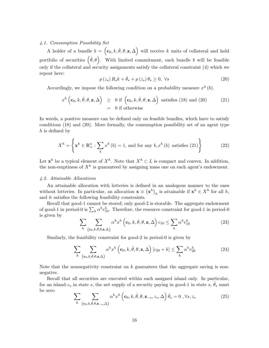# 4.1. Consumption Possibility Set

A holder of a bundle  $b = (\mathbf{c}_0, k, \hat{\theta}, \theta, \mathbf{z}, \Delta)$  will receive k units of collateral and hold portfolio of securities  $(\hat{\theta}, \theta)$ . With limited commitment, each bundle b will be feasible only if the collateral and security assignments satisfy the collateral constraint (4) which we repeat here:

$$
p(z_s) R_s k + \hat{\theta}_s + p(z_s) \theta_s \ge 0, \ \forall s \tag{20}
$$

Accordingly, we impose the following condition on a probability measure  $x^h(b)$ .

$$
x^{h}\left(\mathbf{c}_{0}, k, \hat{\theta}, \theta, \mathbf{z}, \Delta\right) \geq 0 \text{ if }\left(\mathbf{c}_{0}, k, \hat{\theta}, \theta, \mathbf{z}, \Delta\right) \text{ satisfies (18) and (20)}= 0 \text{ if otherwise}
$$
 (21)

In words, a positive measure can be defined only on feasible bundles, which have to satisfy conditions (18) and (20). More formally, the consumption possibility set of an agent type  $h$  is defined by

$$
X^{h} = \left\{ \mathbf{x}^{h} \in \mathbb{R}_{+}^{n} : \sum_{b} x^{h} (b) = 1, \text{ and for any } b, x^{h} (b) \text{ satisfies (21)} \right\}
$$
 (22)

Let  $\mathbf{x}^h$  be a typical element of  $X^h$ . Note that  $X^h \subset L$  is compact and convex. In addition, the non-emptiness of  $X^h$  is guaranteed by assigning mass one on each agent's endowment.

#### 4.2. Attainable Allocations

An attainable allocation with lotteries is defined in an analogous manner to the ones without lotteries. In particular, an allocation  $\mathbf{x} \equiv (\mathbf{x}^h)_h$  is attainable if  $\mathbf{x}^h \in X^h$  for all h, and it satisfies the following feasibility constraints.

Recall that good-1 cannot be stored; only good-2 is storable. The aggregate endowment of good-1 in period-0 is  $\sum_h \alpha^h e_{10}^h$ . Therefore, the resource constraint for good-1 in period-0 is given by

$$
\sum_{h} \sum_{(\mathbf{c}_0, k, \hat{\theta}, \theta, \mathbf{z}, \Delta)} \alpha^h x^h \left(\mathbf{c}_0, k, \hat{\theta}, \theta, \mathbf{z}, \Delta\right) c_{10} \le \sum_{h} \alpha^h e_{10}^h \tag{23}
$$

Similarly, the feasibility constraint for good-2 in period-0 is given by

$$
\sum_{h} \sum_{(\mathbf{c}_0, k, \hat{\theta}, \theta, \mathbf{z}, \Delta)} \alpha^h x^h \left(\mathbf{c}_0, k, \hat{\theta}, \theta, \mathbf{z}, \Delta\right) [c_{20} + k] \le \sum_{h} \alpha^h e_{20}^h \tag{24}
$$

Note that the nonnegativity constraint on  $k$  guarantees that the aggregate saving is nonnegative.

Recall that all securities are executed within each assigned island only. In particular, for an island- $z_s$  in state s, the net supply of a security paying in good-1 in state s,  $\hat{\theta}_s$  must be zero

$$
\sum_{h} \sum_{(\mathbf{c}_0, k, \hat{\theta}, \theta, \mathbf{z}_{-s}, \Delta)} \alpha^h x^h \left(\mathbf{c}_0, k, \hat{\theta}, \theta, \mathbf{z}_{-s}, z_s, \Delta\right) \hat{\theta}_s = 0 \ , \forall s, z_s \tag{25}
$$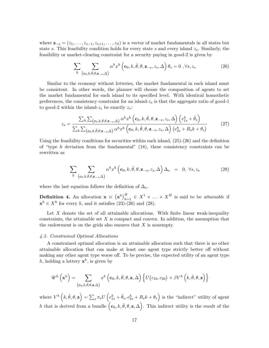where  $\mathbf{z}_{-s} = (z_1, \ldots, z_{s-1}, z_{s+1}, \ldots, z_S)$  is a vector of market fundamentals in all states but state s. This feasibility condition holds for every state s and every island  $z_s$ . Similarly, the feasibility or market-clearing constraint for a security paying in good-2 is given by

$$
\sum_{h} \sum_{(\mathbf{c}_0, k, \hat{\theta}, \theta, \mathbf{z}_{-s}, \Delta)} \alpha^h x^h \left(\mathbf{c}_0, k, \hat{\theta}, \theta, \mathbf{z}_{-s}, z_s, \Delta\right) \theta_s = 0 \ , \forall s, z_s \tag{26}
$$

Similar to the economy without lotteries, the market fundamental in each island must be consistent. In other words, the planner will choose the composition of agents to set the market fundamental for each island to its specified level. With identical homothetic preferences, the consistency constraint for an island- $z<sub>s</sub>$  is that the aggregate ratio of good-1 to good-2 within the island- $z_s$  be exactly  $z_s$ :

$$
z_{s} = \frac{\sum_{h} \sum_{(\mathbf{c}_{0},k,\hat{\theta},\theta,\mathbf{z}_{-s},\Delta)} \alpha^{h} x^{h} (\mathbf{c}_{0},k,\hat{\theta},\theta,\mathbf{z}_{-s},z_{s},\Delta) (e_{1s}^{h} + \hat{\theta}_{s})}{\sum_{h} \sum_{(\mathbf{c}_{0},k,\hat{\theta},\theta,\mathbf{z}_{-s},\Delta)} \alpha^{h} x^{h} (\mathbf{c}_{0},k,\hat{\theta},\theta,\mathbf{z}_{-s},z_{s},\Delta) (e_{2s}^{h} + R_{s}k + \theta_{s})}
$$
(27)

Using the feasibility conditions for securities within each island,  $(25)-(26)$  and the definition of "type  $h$  deviation from the fundamental"  $(18)$ , these consistency constraints can be rewritten as

$$
\sum_{h} \sum_{(\mathbf{c}_0, k, \hat{\theta}, \theta, \mathbf{z}_{-s}, \Delta)} \alpha^h x^h \left(\mathbf{c}_0, k, \hat{\theta}, \theta, \mathbf{z}_{-s}, z_s, \Delta\right) \Delta_s = 0, \forall s, z_s \tag{28}
$$

where the last equation follows the definition of  $\Delta_s$ .

**Definition 4.** An allocation  $\mathbf{x} \equiv (\mathbf{x}^h)_{h=1}^H \in X^1 \times \ldots \times X^H$  is said to be *attainable* if  $\mathbf{x}^h \in X^h$  for every h, and it satisfies (23)-(26) and (28).

Let  $X$  denote the set of all attainable allocations. With finite linear weak-inequality constraints, the attainable set  $X$  is compact and convex. In addition, the assumption that the endowment is on the grids also ensures that  $X$  is nonempty.

#### 4.3. Constrained Optimal Allocations

A constrained optimal allocation is an attainable allocation such that there is no other attainable allocation that can make at least one agent type strictly better off without making any other agent type worse off. To be precise, the expected utility of an agent type h, holding a lottery  $\mathbf{x}^h$ , is given by

$$
\mathscr{U}^{h}\left(\mathbf{x}^{h}\right) = \sum_{\left(\mathbf{c}_{0},k,\hat{\theta},\theta,\mathbf{z},\Delta\right)} x^{h}\left(\mathbf{c}_{0},k,\hat{\theta},\theta,\mathbf{z},\Delta\right) \left\{ U\left(c_{10},c_{20}\right) + \beta V^{h}\left(k,\hat{\theta},\theta,\mathbf{z}\right) \right\}
$$

where  $V^h\left(k, \hat{\theta}, \theta, \mathbf{z}\right) = \sum_s \pi_s U\left(e_{1s}^h + \hat{\theta}_s, e_{2s}^h + R_s k + \theta_s\right)$  is the "indirect" utility of agent h that is derived from a bundle  $(c_0, k, \hat{\theta}, \theta, \mathbf{z}, \Delta)$ . This indirect utility is the result of the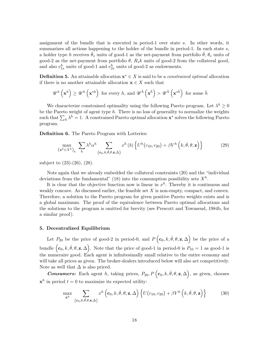assignment of the bundle that is executed in period-1 over state  $s$ . In other words, it summarizes all actions happening to the holder of the bundle in period-1. In each state  $s$ , a holder type h receives  $\theta_s$  units of good-1 as the net-payment from portfolio  $\theta$ ,  $\theta_s$  units of good-2 as the net-payment from portfolio  $\theta$ ,  $R_s k$  units of good-2 from the collateral good, and also  $e_{1s}^h$  units of good-1 and  $e_{2s}^h$  units of good-2 as endowments.

**Definition 5.** An attainable allocation  $\mathbf{x}^* \in X$  is said to be a *constrained optimal* allocation if there is no another attainable allocation  $\mathbf{x} \in X$  such that

$$
\mathscr{U}^h\left(\mathbf{x}^h\right) \ge \mathscr{U}^h\left(\mathbf{x}^{*h}\right) \text{ for every } h, \text{ and } \mathscr{U}^{\bar{h}}\left(\mathbf{x}^{\bar{h}}\right) > \mathscr{U}^{\bar{h}}\left(\mathbf{x}^{*\bar{h}}\right) \text{ for some } \bar{h}
$$

We characterize constrained optimality using the following Pareto program. Let  $\lambda^h \geq 0$ be the Pareto weight of agent type  $h$ . There is no loss of generality to normalize the weights such that  $\sum_h \lambda^h = 1$ . A constrained Pareto optimal allocation  $\mathbf{x}^*$  solves the following Pareto program.

Definition 6. The Pareto Program with Lotteries:

$$
\max_{\left(\mathbf{x}^{h}\in X^{h}\right)_{h}}\sum_{h}\lambda^{h}\alpha^{h}\sum_{\left(\mathbf{c}_{0},k,\hat{\theta},\theta,\mathbf{z},\Delta\right)}x^{h}\left(b\right)\left\{U^{h}\left(c_{10},c_{20}\right)+\beta V^{h}\left(k,\hat{\theta},\theta,\mathbf{z}\right)\right\}\n\tag{29}
$$

subject to (23)-(26), (28).

Note again that we already embedded the collateral constraints (20) and the "individual deviations from the fundamental" (18) into the consumption possibility sets  $X<sup>h</sup>$ .

It is clear that the objective function now is linear in  $x^h$ . Thereby it is continuous and weakly concave. As discussed earlier, the feasible set  $X$  is non-empty, compact, and convex. Therefore, a solution to the Pareto program for given positive Pareto weights exists and is a global maximum. The proof of the equivalence between Pareto optimal allocations and the solutions to the program is omitted for brevity (see Prescott and Townsend, 1984b, for a similar proof).

#### 5. Decentralized Equilibrium

Let  $P_{20}$  be the price of good-2 in period-0, and  $P(\mathbf{c}_0, k, \hat{\theta}, \theta, \mathbf{z}, \Delta)$  be the price of a bundle  $(c_0, k, \hat{\theta}, \theta, \mathbf{z}, \Delta)$ . Note that the price of good-1 in period-0 is  $P_{10} = 1$  as good-1 is the numeraire good. Each agent is infinitesimally small relative to the entire economy and will take all prices as given. The broker-dealers introduced below will also act competitively. Note as well that  $\Delta$  is also priced.

**Consumers:** Each agent h, taking prices,  $P_{20}$ ,  $P\left(c_0, k, \hat{\theta}, \theta, \mathbf{z}, \Delta\right)$ , as given, chooses  $\mathbf{x}^h$  in period  $t = 0$  to maximize its expected utility:

$$
\max_{\mathbf{x}^h} \sum_{(\mathbf{c}_0, k, \hat{\theta}, \theta, \mathbf{z}, \Delta)} x^h\left(\mathbf{c}_0, k, \hat{\theta}, \theta, \mathbf{z}, \Delta\right) \left\{ U(c_{10}, c_{20}) + \beta V^h\left(k, \hat{\theta}, \theta, \mathbf{z}\right) \right\} \tag{30}
$$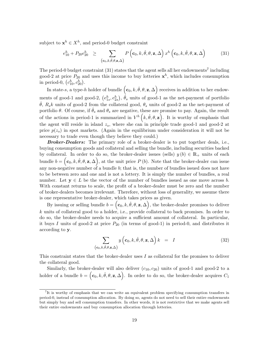subject to  $\mathbf{x}^h \in X^h$ , and period-0 budget constraint

$$
e_{10}^h + P_{20}e_{20}^h \ge \sum_{\left(\mathbf{c}_0, k, \hat{\theta}, \theta, \mathbf{z}, \Delta\right)} P\left(\mathbf{c}_0, k, \hat{\theta}, \theta, \mathbf{z}, \Delta\right) x^h\left(\mathbf{c}_0, k, \hat{\theta}, \theta, \mathbf{z}, \Delta\right)
$$
(31)

The period-0 budget constraint  $(31)$  states that the agent sells all her endowments<sup>7</sup> including good-2 at price  $P_{20}$  and uses this income to buy lotteries  $\mathbf{x}^h$ , which includes consumption in period-0,  $(c_{10}^h, c_{20}^h)$ .

In state-s, a type-h holder of bundle  $(c_0, k, \hat{\theta}, \theta, \mathbf{z}, \Delta)$  receives in addition to her endowments of good-1 and good-2,  $(e_{1s}^h, e_{2s}^h), \hat{\theta}_s$  units of good-1 as the net-payment of portfolio  $\hat{\theta}$ ,  $R_s k$  units of good-2 from the collateral good,  $\theta_s$  units of good-2 as the net-payment of portfolio  $\theta$ . Of course, if  $\hat{\theta}_s$  and  $\theta_s$  are negative, these are promise to pay. Again, the result of the actions in period-1 is summarized in  $V^h\left(k, \hat{\theta}, \theta, \mathbf{z}\right)$ . It is worthy of emphasis that the agent will reside in island  $z_s$ , where she can in principle trade good-1 and good-2 at price  $p(z_s)$  in spot markets. (Again in the equilibrium under consideration it will not be necessary to trade even though they believe they could.)

**Broker-Dealers:** The primary role of a broker-dealer is to put together deals, i.e., buying consumption goods and collateral and selling the bundle, including securities backed by collateral. In order to do so, the broker-dealer issues (sells)  $y(b) \in \mathbb{R}_+$  units of each bundle  $b = (\mathbf{c}_0, k, \hat{\theta}, \theta, \mathbf{z}, \Delta)$ , at the unit price  $P(b)$ . Note that the broker-dealer can issue any non-negative number of a bundle  $b$ ; that is, the number of bundles issued does not have to be between zero and one and is not a lottery. It is simply the number of bundles, a real number. Let  $y \in L$  be the vector of the number of bundles issued as one move across b. With constant returns to scale, the profit of a broker-dealer must be zero and the number of broker-dealers becomes irrelevant. Therefore, without loss of generality, we assume there is one representative broker-dealer, which takes prices as given.

By issuing or selling bundle  $b = (\mathbf{c}_0, k, \hat{\theta}, \theta, \mathbf{z}, \Delta)$ , the broker-dealer promises to deliver  $k$  units of collateral good to a holder, i.e., provide collateral to back promises. In order to do so, the broker-dealer needs to acquire a sufficient amount of collateral. In particular, it buys I units of good-2 at price  $P_{20}$  (in terms of good-1) in period-0, and distributes it according to y.

$$
\sum_{\left(\mathbf{c}_0,k,\hat{\theta},\theta,\mathbf{z},\Delta\right)} y\left(\mathbf{c}_0,k,\hat{\theta},\theta,\mathbf{z},\Delta\right) k = I
$$
\n(32)

This constraint states that the broker-dealer uses  $I$  as collateral for the promises to deliver the collateral good.

Similarly, the broker-dealer will also deliver  $(c_{10}, c_{20})$  units of good-1 and good-2 to a holder of a bundle  $b = (\mathbf{c}_0, k, \hat{\theta}, \theta, \mathbf{z}, \Delta)$ . In order to do so, the broker-dealer acquires  $C_1$ 

<sup>7</sup> It is worthy of emphasis that we can write an equivalent problem specifying consumption transfers in period-0, instead of consumption allocation. By doing so, agents do not need to sell their entire endowments but simply buy and sell consumption transfers. In other words, it is not restrictive that we make agents sell their entire endowments and buy consumption allocation through lotteries.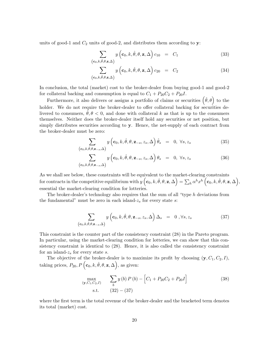units of good-1 and  $C_2$  units of good-2, and distributes them according to  $y$ :

$$
\sum_{\left(\mathbf{c}_0,k,\hat{\theta},\theta,\mathbf{z},\Delta\right)} y\left(\mathbf{c}_0,k,\hat{\theta},\theta,\mathbf{z},\Delta\right) c_{10} = C_1
$$
\n(33)

$$
\sum_{(\mathbf{c}_0,k,\hat{\theta},\theta,\mathbf{z},\Delta)} y\left(\mathbf{c}_0,k,\hat{\theta},\theta,\mathbf{z},\Delta\right) c_{20} = C_2 \tag{34}
$$

In conclusion, the total (market) cost to the broker-dealer from buying good-1 and good-2 for collateral backing and consumption is equal to  $C_1 + P_{20}C_2 + P_{20}I$ .

Furthermore, it also delivers or assigns a portfolio of claims or securities  $(\hat{\theta}, \theta)$  to the holder. We do not require the broker-dealer to offer collateral backing for securities delivered to consumers,  $\ddot{\theta}, \theta \leq 0$ , and done with collateral k as that is up to the consumers themselves. Neither does the broker-dealer itself hold any securities or net position, but simply distributes securities according to y. Hence, the net-supply of each contract from the broker-dealer must be zero:

$$
\sum_{(\mathbf{c}_0,k,\hat{\theta},\theta,\mathbf{z}_{-s},\Delta)} y\left(\mathbf{c}_0,k,\hat{\theta},\theta,\mathbf{z}_{-s},z_s,\Delta\right)\hat{\theta}_s = 0, \forall s, z_s
$$
\n(35)

$$
\sum_{(\mathbf{c}_0,k,\hat{\theta},\theta,\mathbf{z}_{-s},\Delta)} y\left(\mathbf{c}_0,k,\hat{\theta},\theta,\mathbf{z}_{-s},z_s,\Delta\right)\theta_s = 0, \forall s,z_s
$$
 (36)

As we shall see below, these constraints will be equivalent to the market-clearing constraints for contracts in the competitive equilibrium with  $y\left(\mathbf{c}_0, k, \hat{\theta}, \theta, \mathbf{z}, \Delta\right) = \sum_h \alpha^h x^h \left(\mathbf{c}_0, k, \hat{\theta}, \theta, \mathbf{z}, \Delta\right),$ essential the market-clearing condition for lotteries.

The broker-dealer's technology also requires that the sum of all "type  $h$  deviations from the fundamental" must be zero in each island- $z_s$  for every state  $s$ :

$$
\sum_{(\mathbf{c}_0,k,\hat{\theta},\theta,\mathbf{z}_{-s},\Delta)} y\left(\mathbf{c}_0,k,\hat{\theta},\theta,\mathbf{z}_{-s},z_s,\Delta\right)\Delta_s = 0, \forall s, z_s
$$
 (37)

This constraint is the counter part of the consistency constraint (28) in the Pareto program. In particular, using the market-clearing condition for lotteries, we can show that this consistency constraint is identical to (28). Hence, it is also called the consistency constraint for an island- $z<sub>s</sub>$  for every state s.

The objective of the broker-dealer is to maximize its profit by choosing  $(\mathbf{y}, C_1, C_2, I)$ , taking prices,  $P_{20}, P(\mathbf{c}_0, k, \hat{\theta}, \theta, \mathbf{z}, \Delta)$ , as given:

$$
\max_{(\mathbf{y}, C_1, C_2, I)} \quad \sum_b y(b) P(b) - [C_1 + P_{20}C_2 + P_{20}I] \tag{38}
$$
\n
$$
\text{s.t.} \quad (32) - (37)
$$

where the first term is the total revenue of the broker-dealer and the bracketed term denotes its total (market) cost.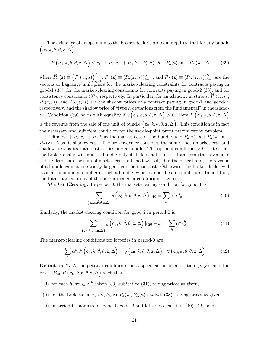The existence of an optimum to the broker-dealer's problem requires, that for any bundle  $(c_0, k, \hat{\theta}, \theta, \mathbf{z}, \Delta),$ 

$$
P\left(\mathbf{c}_0, k, \hat{\theta}, \theta, \mathbf{z}, \Delta\right) \le c_{10} + P_{20}c_{20} + P_{20}k + \hat{P}_a(\mathbf{z}) \cdot \hat{\theta} + P_a(\mathbf{z}) \cdot \theta + P_\Delta(\mathbf{z}) \cdot \Delta \tag{39}
$$

where  $\widehat{P}_a(\mathbf{z}) \equiv \left( \widehat{P}_a(z_s, s) \right)^S$  $S_{s=1}$ ,  $P_a(\mathbf{z}) \equiv (P_a(z_s, s))_{s=1}^S$ , and  $P_{\Delta}(\mathbf{z}) \equiv (P_{\Delta}(z_s, s))_{s=1}^S$  are the vectors of Lagrange multipliers for the market-clearing constraints for contracts paying in good-1 (35), for the market-clearing constraints for contracts paying in good-2 (36), and for consistency constraints (37), respectively. In particular, for an island  $z_s$  in state s,  $P_a(z_s, s)$ ,  $P_a(z_s, s)$ , and  $P_{\Delta}(z_s, s)$  are the shadow prices of a contract paying in good-1 and good-2, respectively, and the shadow price of "type  $h$  deviations from the fundamental" in the islandz<sub>s</sub>. Condition (39) holds with equality if  $y\left(c_0, k, \hat{\theta}, \theta, \mathbf{z}, \Delta\right) > 0$ . Here  $P\left(c_0, k, \hat{\theta}, \theta, \mathbf{z}, \Delta\right)$ is the revenue from the sale of one unit of bundle  $(c_0, k, \hat{\theta}, \theta, \mathbf{z}, \Delta)$ . This condition is in fact the necessary and sufficient condition for the saddle-point profit maximization problem.

Define  $c_{10} + P_{20}c_{20} + P_{20}k$  as the market cost of the bundle, and  $\hat{P}_a(\mathbf{z}) \cdot \hat{\theta} + P_a(\mathbf{z}) \cdot \theta +$  $P_{\Delta}(\mathbf{z}) \cdot \Delta$  as its shadow cost. The broker-dealer considers the sum of both market cost and shadow cost as its total cost for issuing a bundle. The optimal condition (39) states that the broker-dealer will issue a bundle only if it does not cause a total loss (the revenue is strictly less than the sum of market cost and shadow cost). On the other hand, the revenue of a bundle cannot be strictly larger than the total cost. Otherwise, the broker-dealer will issue an unbounded number of such a bundle, which cannot be an equilibrium. In addition, the total market profit of the broker-dealer in equilibrium is zero.

**Market Clearing:** In period-0, the market-clearing condition for good-1 is

$$
\sum_{(\mathbf{c}_0,k,\hat{\theta},\theta,\mathbf{z},\Delta)} y\left(\mathbf{c}_0,k,\hat{\theta},\theta,\mathbf{z},\Delta\right) c_{10} = \sum_h \alpha^h e_{10}^h \tag{40}
$$

Similarly, the market-clearing condition for good-2 in period-0 is

$$
\sum_{(\mathbf{c}_0,k,\hat{\theta},\theta,\mathbf{z},\Delta)} y\left(\mathbf{c}_0,k,\hat{\theta},\theta,\mathbf{z},\Delta\right) [c_{20}+k] = \sum_h \alpha^h e_{20}^h \tag{41}
$$

The market-clearing conditions for lotteries in period-0 are

$$
\sum_{h} \alpha^{h} x^{h} \left( \mathbf{c}_{0}, k, \hat{\theta}, \theta, \mathbf{z}, \Delta \right) = y \left( \mathbf{c}_{0}, k, \hat{\theta}, \theta, \mathbf{z}, \Delta \right), \ \forall \left( \mathbf{c}_{0}, k, \hat{\theta}, \theta, \mathbf{z}, \Delta \right)
$$
(42)

**Definition 7.** A competitive equilibrium is a specification of allocation  $(x, y)$ , and the prices  $P_{20}, P\left(\mathbf{c}_0, k, \hat{\theta}, \theta, \mathbf{z}, \Delta\right)$  such that

- (i) for each  $h, x^h \in X^h$  solves (30) subject to (31), taking prices as given,
- (ii) for the broker-dealer,  $\left\{ \mathbf{y}, \widehat{P}_a(\mathbf{z}), P_a(\mathbf{z}), P_{\Delta}(\mathbf{z}) \right\}$  solves (38), taking prices as given,
- (iii) in period-0, markets for good-1, good-2 and lotteries clear, i.e.,  $(40)-(42)$  hold,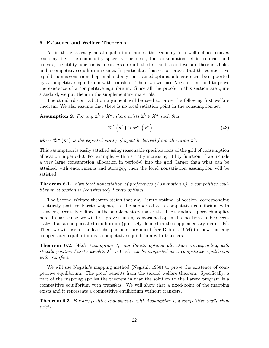#### 6. Existence and Welfare Theorems

As in the classical general equilibrium model, the economy is a well-defined convex economy, i.e., the commodity space is Euclidean, the consumption set is compact and convex, the utility function is linear. As a result, the first and second welfare theorems hold, and a competitive equilibrium exists. In particular, this section proves that the competitive equilibrium is constrained optimal and any constrained optimal allocation can be supported by a competitive equilibrium with transfers. Then, we will use Negishi's method to prove the existence of a competitive equilibrium. Since all the proofs in this section are quite standard, we put them in the supplementary materials.

The standard contradiction argument will be used to prove the following first welfare theorem. We also assume that there is no local satiation point in the consumption set.

**Assumption 2.** For any  $x^h \in X^h$ , there exists  $\tilde{x}^h \in X^h$  such that

$$
\mathscr{U}^h\left(\tilde{\mathbf{x}}^h\right) > \mathscr{U}^h\left(\mathbf{x}^h\right) \tag{43}
$$

where  $\mathscr{U}^h(\mathbf{x}^h)$  is the expected utility of agent h derived from allocation  $\mathbf{x}^h$ .

This assumption is easily satisfied using reasonable specifications of the grid of consumption allocation in period-0. For example, with a strictly increasing utility function, if we include a very large consumption allocation in period-0 into the grid (larger than what can be attained with endowments and storage), then the local nonsatiation assumption will be satisfied.

**Theorem 6.1.** With local nonsatiation of preferences (Assumption 2), a competitive equilibrium allocation is (constrained) Pareto optimal.

The Second Welfare theorem states that any Pareto optimal allocation, corresponding to strictly positive Pareto weights, can be supported as a competitive equilibrium with transfers, precisely defined in the supplementary materials. The standard approach applies here. In particular, we will first prove that any constrained optimal allocation can be decentralized as a compensated equilibrium (precisely defined in the supplementary materials). Then, we will use a standard cheaper-point argument (see Debreu, 1954) to show that any compensated equilibrium is a competitive equilibrium with transfers.

Theorem 6.2. With Assumption 1, any Pareto optimal allocation corresponding with strictly positive Pareto weights  $\lambda^h > 0$ ,  $\forall h$  can be supported as a competitive equilibrium with transfers.

We will use Negishi's mapping method (Negishi, 1960) to prove the existence of competitive equilibrium. The proof benefits from the second welfare theorem. Specifically, a part of the mapping applies the theorem in that the solution to the Pareto program is a competitive equilibrium with transfers. We will show that a fixed-point of the mapping exists and it represents a competitive equilibrium without transfers.

**Theorem 6.3.** For any positive endowments, with Assumption 1, a competitive equilibrium exists.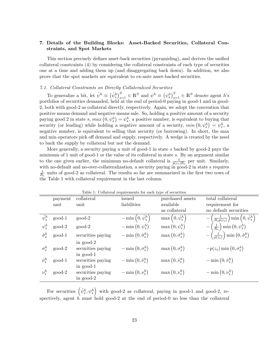# 7. Details of the Building Blocks: Asset-Backed Securities, Collateral Constraints, and Spot Markets

This section precisely defines asset-back securities (pyramiding), and derives the unified collateral constraints (4) by considering the collateral constraints of each type of securities one at a time and adding them up (and disaggregating back down). In addition, we also prove that the spot markets are equivalent to ex-ante asset-backed securities.

#### 7.1. Collateral Constraints on Directly Collateralized Securities

To generalize a bit, let  $\hat{\psi}^h \equiv (\hat{\psi}^h_s)_{s=1}^S \in \mathbb{R}^S$  and  $\psi^h \equiv (\psi^h_s)_{s=1}^S \in \mathbb{R}^S$  denote agent  $h$ 's portfolios of securities demanded, held at the end of period-0 paying in good-1 and in good-2, both with good-2 as collateral directly, respectively. Again, we adopt the convention that positive means demand and negative means sale. So, holding a positive amount of a security paying good 2 in state s,  $max(0, \psi_s^h) = \psi_s^h$ , a positive number, is equivalent to buying that security (or lending) while holding a negative amount of a security,  $min(0, \psi_s^h) = \psi_s^h$ , a negative number, is equivalent to selling that security (or borrowing). In short, the max and min operators pick off demand and supply, respectively. A wedge is created by the need to back the supply by collateral but not the demand.

More generally, a security paying a unit of good-1 in state  $s$  backed by good-2 pays the minimum of 1 unit of good-1 or the value of its collateral in state s. By an argument similar to the one given earlier, the minimum no-default collateral is  $\frac{1}{p(z_s)R_s}$  per unit. Similarly, with no-default and no-over-collateralization, a security paying in good-2 in state  $s$  requires  $\frac{1}{R_s}$  units of good-2 as collateral. The results so far are summarized in the first two rows of the Table 1 with collateral requirement in the last column.

|                        | payment  | collateral                                      | issued                                | purchased assets            | total collateral                                                         |
|------------------------|----------|-------------------------------------------------|---------------------------------------|-----------------------------|--------------------------------------------------------------------------|
|                        | unit     | unit                                            | liabilities                           | available                   | requirement for                                                          |
|                        |          |                                                 |                                       | as collateral               | no default securities                                                    |
| $\hat{\psi}^h_s$       | good-1   | $good-2$                                        | $-\min\left(0, \hat{\psi}^h_s\right)$ | $\max(0, \hat{\psi}^h_s)$   | $-\left(\frac{1}{R_s p(z_s)}\right) \min \left(0, \hat{\psi}^h_s\right)$ |
| $\psi^h_s$             | good-2   | good-2                                          | $-\min(0,\psi_s^h)$                   | $\max(0, \psi_s^h)$         | $-\left(\frac{1}{R_s}\right) \min\left(0, \psi_s^h\right)$               |
| $\hat{\sigma}_{s}^{h}$ | good-1   | securities paying                               | $-\min(0,\hat{\sigma}_{s}^{h})$       | $\max(0, \hat{\sigma}_s^h)$ | $-\left(\frac{1}{p(z_s)}\right)$ min $\left(0, \hat{\sigma}_s^h\right)$  |
| $\sigma_s^h$           | good-2   | in $good-2$<br>securities paying<br>in $good-1$ | $-\min(0, \sigma_s^h)$                | $\max(0, \sigma_s^h)$       | $-p(z_s)$ min $(0, \sigma_s^h)$                                          |
| $\hat{\nu}_s^h$        | good-1   | securities paying                               | $-\min(0,\hat{\nu}_s^h)$              | $\max(0, \hat{\nu}_s^h)$    | $-\min(0, \hat{\nu}_s^h)$                                                |
| $\nu_s^h$              | $good-2$ | in $good-1$<br>securities paying<br>in $good-2$ | $-\min(0,\nu_s^h)$                    | $\max(0,\nu_s^h)$           | $-\min(0,\nu_s^h)$                                                       |

Table  $1$ : Collateral requirements for each type of securities.

For securities  $(\hat{\psi}_s^h, \psi_s^h)$  with good-2 as collateral, paying in good-1 and good-2, respectively, agent  $h$  must hold good-2 at the end of period-0 no less than the collateral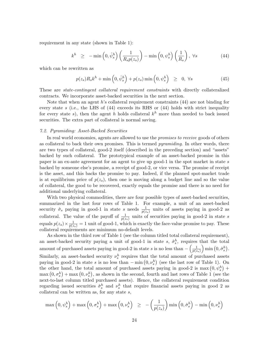requirement in any state (shown in Table 1):

$$
k^{h} \geq -\min\left(0, \hat{\psi}_{s}^{h}\right) \left(\frac{1}{R_{s}p(z_{s})}\right) - \min\left(0, \psi_{s}^{h}\right) \left(\frac{1}{R_{s}}\right), \ \forall s \tag{44}
$$

which can be rewritten as

$$
p(z_s)R_sk^h + \min\left(0,\hat{\psi}_s^h\right) + p(z_s)\min\left(0,\psi_s^h\right) \geq 0, \forall s \tag{45}
$$

These are state-contingent collateral requirement constraints with directly collateralized contracts. We incorporate asset-backed securities in the next section.

Note that when an agent  $h$ 's collateral requirement constraints  $(44)$  are not binding for every state s (i.e., the LHS of  $(44)$  exceeds its RHS or  $(44)$  holds with strict inequality for every state s), then the agent h holds collateral  $k^h$  more than needed to back issued securities. The extra part of collateral is normal saving.

#### 7.2. Pyramiding: Asset-Backed Securities

In real world economies, agents are allowed to use the promises to receive goods of others as collateral to back their own promises. This is termed *pyramiding*. In other words, there are two types of collateral, good-2 itself (described in the preceding section) and "assets" backed by such collateral. The prototypical example of an asset-backed promise in this paper is an ex-ante agreement for an agent to give up good-1 in the spot market in state  $s$ backed by someone else's promise, a receipt of good-2, or vice versa. The promise of receipt is the asset, and this backs the promise to pay. Indeed, if the planned spot-market trade is at equilibrium price of  $p(z<sub>s</sub>)$ , then one is moving along a budget line and so the value of collateral, the good to be recovered, exactly equals the promise and there is no need for additional underlying collateral.

With two physical commodities, there are four possible types of asset-backed securities, summarized in the last four rows of Table 1. For example, a unit of an asset-backed security  $\hat{\sigma}_s$  paying in good-1 in state s needs  $\frac{1}{p(z_s)}$  units of assets paying in good-2 as collateral. The value of the payoff of  $\frac{1}{p(z_s)}$  units of securities paying in good-2 in state s equals  $p(z_s) \times \frac{1}{p(z_s)} = 1$  unit of good-1, which is exactly the face-value promise to pay. These collateral requirements are minimum no-default levels.

As shown in the third row of Table 1 (see the column titled total collateral requirement), an asset-backed security paying a unit of good-1 in state s,  $\hat{\sigma}_s^h$ , requires that the total amount of purchased assets paying in good-2 in state s is no less than  $-\left(\frac{1}{n(s)}\right)$  $p(z_{s})$  $\Big)$  min  $(0, \hat{\sigma}_{s}^{h}).$ Similarly, an asset-backed security  $\nu_s^h$  requires that the total amount of purchased assets paying in good-2 in state s is no less than  $-\min(0, \nu_s^h)$  (see the last row of Table 1). On the other hand, the total amount of purchased assets paying in good-2 is max  $(0, \psi_s^h)$  +  $\max(0, \sigma_s^h) + \max(0, \nu_s^h)$ , as shown in the second, fourth and last rows of Table 1 (see the next-to-last column titled purchased assets). Hence, the collateral requirement condition regarding issued securities  $\hat{\sigma}_s^h$  and  $\nu_s^h$  that require financial assets paying in good 2 as collateral can be written as, for any state  $s$ ,

$$
\max\left(0, \psi_s^h\right) + \max\left(0, \sigma_s^h\right) + \max\left(0, \nu_s^h\right) \ge -\left(\frac{1}{p(z_s)}\right) \min\left(0, \hat{\sigma}_s^h\right) - \min\left(0, \nu_s^h\right)
$$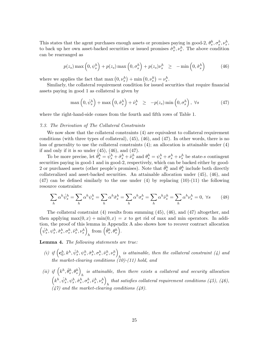This states that the agent purchases enough assets or promises paying in good-2,  $\theta_s^h$ ,  $\sigma_s^h$ ,  $\nu_s^h$ , to back up her own asset-backed securities or issued promises  $\hat{\sigma}_s^h, \nu_s^h$ . The above condition can be rearranged as

$$
p(z_s) \max\left(0, \psi_s^h\right) + p(z_s) \max\left(0, \sigma_s^h\right) + p(z_s) \nu_s^h \geq -\min\left(0, \hat{\sigma}_s^h\right) \tag{46}
$$

where we applies the fact that  $\max(0, \nu_s^h) + \min(0, \nu_s^h) = \nu_s^h$ .

Similarly, the collateral requirement condition for issued securities that require financial assets paying in good 1 as collateral is given by

$$
\max\left(0, \hat{\psi}_s^h\right) + \max\left(0, \hat{\sigma}_s^h\right) + \hat{\nu}_s^h \ge -p(z_s)\min\left(0, \sigma_s^h\right), \ \forall s \tag{47}
$$

where the right-hand-side comes from the fourth and fifth rows of Table 1.

# 7.3. The Derivation of The Collateral Constraints

We now show that the collateral constraints  $(4)$  are equivalent to collateral requirement conditions (with three types of collateral), (45), (46), and (47). In other words, there is no loss of generality to use the collateral constraints (4); an allocation is attainable under (4) if and only if it is so under  $(45)$ ,  $(46)$ , and  $(47)$ .

To be more precise, let  $\hat{\theta}_s^h = \hat{\psi}_s^h + \hat{\sigma}_s^h + \hat{\nu}_s^h$  and  $\theta_s^h = \psi_s^h + \sigma_s^h + \nu_s^h$  be state-s contingent securities paying in good-1 and in good-2, respectively, which can be backed either by good-2 or purchased assets (other people's promises). Note that  $\hat{\theta}_s^h$  and  $\theta_s^h$  include both directly collateralized and asset-backed securities. An attainable allocation under (45), (46), and  $(47)$  can be defined similarly to the one under  $(4)$  by replacing  $(10)-(11)$  the following resource constraints:

$$
\sum_{h} \alpha^{h} \hat{\psi}_{s}^{h} = \sum_{h} \alpha^{h} \psi_{s}^{h} = \sum_{h} \alpha^{h} \hat{\sigma}_{s}^{h} = \sum_{h} \alpha^{h} \sigma_{s}^{h} = \sum_{h} \alpha^{h} \hat{\nu}_{s}^{h} = \sum_{h} \alpha^{h} \nu_{s}^{h} = 0, \ \forall s \tag{48}
$$

The collateral constraint (4) results from summing (45), (46), and (47) altogether, and then applying  $\max(0, x) + \min(0, x) = x$  to get rid of max and min operators. In addition, the proof of this lemma in Appendix A also shows how to recover contract allocation  $\left( \hat{\psi}^h_s, \psi^h_s, \hat{\sigma}^h_s, \sigma^h_s, \hat{\nu}^h_s, \nu^h_s \right)$  $h \mod \left( \hat{\theta}_{s}^{h}, \hat{\theta}_{s}^{h} \right).$ 

Lemma 4. The following statements are true:

- (i) if  $\left(c_0^h, k^h, \hat{\psi}_s^h, \psi_s^h, \hat{\sigma}_s^h, \sigma_s^h, \hat{\psi}_s^h, \psi_s^h\right)_k$  is attainable, then the collateral constraint (4) and the market-clearing conditions  $(10)-(11)$  hold, and
- (ii) if  $(k^h, \hat{\theta}^h_s, \theta^h_s)$ is attainable, then there exists a collateral and security allocation  $h$  $\left(k^h,\hat{\psi}^h_s,\psi^h_s,\hat{\sigma}^h_s,\sigma^h_s,\hat{\nu}^h_s,\nu^h_s\right)$ that satisfies collateral requirement conditions  $(45)$ ,  $(46)$ ,  $(47)$  and the market-clearing conditions  $(48)$ .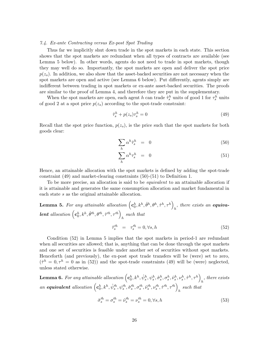#### 7.4. Ex-ante Contracting versus Ex-post Spot Trading

Thus far we implicitly shut down trade in the spot markets in each state. This section shows that the spot markets are redundant when all types of contracts are available (see Lemma 5 below). In other words, agents do not need to trade in spot markets, though they may well do so. Importantly, the spot markets are open and deliver the spot price  $p(z_s)$ . In addition, we also show that the asset-backed securities are not necessary when the spot markets are open and active (see Lemma 6 below). Put differently, agents simply are indifferent between trading in spot markets or ex-ante asset-backed securities. The proofs are similar to the proof of Lemma 4, and therefore they are put in the supplementary.

When the spot markets are open, each agent  $h$  can trade  $\hat{\tau}_s^h$  units of good 1 for  $\tau_s^h$  units of good 2 at a spot price  $p(z_s)$  according to the spot-trade constraint:

$$
\hat{\tau}_s^h + p(z_s)\tau_s^h = 0\tag{49}
$$

Recall that the spot price function,  $p(z_s)$ , is the price such that the spot markets for both goods clear:

$$
\sum_{h} \alpha^{h} \hat{\tau}_{s}^{h} = 0 \tag{50}
$$

$$
\sum_{h} \alpha^h \tau_s^h = 0 \tag{51}
$$

Hence, an attainable allocation with the spot markets is defined by adding the spot-trade constraint (49) and market-clearing constraints (50)-(51) to Definition 1.

To be more precise, an allocation is said to be equivalent to an attainable allocation if it is attainable and generates the same consumption allocation and market fundamental in each state s as the original attainable allocation.

**Lemma 5.** For any attainable allocation  $\left( \mathbf{c}_0^h, k^h, \hat{\theta}^h, \theta^h, \hat{\tau}^h, \tau^h \right)$  $_{h}$ , there exists an **equiva**lent allocation  $(c_0^h, k^h, \hat{\theta}^{\prime h}, \theta^{\prime h}, \hat{\tau}^{\prime h}, \tau^{\prime h})$ ℎ such that  $\hat{\tau}_s^{th} = \tau_s^{th} = 0, \forall s, h$ (52)

Condition (52) in Lemma 5 implies that the spot markets in period-1 are redundant when all securities are allowed; that is, anything that can be done through the spot markets and one set of securities is feasible under another set of securities without spot markets. Henceforth (and previously), the ex-post spot trade transfers will be (were) set to zero,  $(\hat{\tau}^h = 0, \tau^h = 0$  as in (52)) and the spot-trade constraints (49) will be (were) neglected, unless stated otherwise.

 ${\bf Lemma} ~ {\bf 6}. ~ For any attainable allocation \left( {\bf c}_0^h,k^h,{\hat \psi}_s^h,{\psi}_s^h,{\hat \sigma}_s^h,{\sigma}_s^h,{\hat \nu}_s^h,{\nu}_s^h,{\hat \tau}^h,{\tau}^h\right)$  $h$ , there exists an equivalent allocation  $(c_0^h, k^h, \hat{\psi}_s^{\prime h}, \psi_s^{\prime h}, \hat{\sigma}_s^{\prime h}, \hat{\nu}_s^{\prime h}, \psi_s^{\prime h}, \hat{\tau}^{\prime h}, \tau^{\prime h})$ ℎ such that

$$
\hat{\sigma}_s^{\prime h} = \sigma_s^{\prime h} = \hat{\nu}_s^{\prime h} = \nu_s^{\prime h} = 0, \forall s, h \tag{53}
$$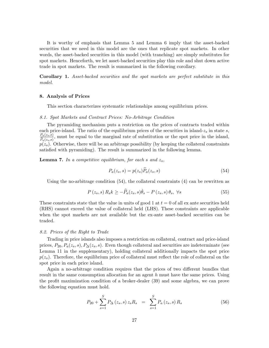It is worthy of emphasis that Lemma 5 and Lemma 6 imply that the asset-backed securities that we need in this model are the ones that replicate spot markets. In other words, the asset-backed securities in this model (with tranching) are simply substitutes for spot markets. Henceforth, we let asset-backed securities play this role and shut down active trade in spot markets. The result is summarized in the following corollary.

Corollary 1. Asset-backed securities and the spot markets are perfect substitute in this model.

# 8. Analysis of Prices

This section characterizes systematic relationships among equilibrium prices.

#### 8.1. Spot Markets and Contract Prices: No-Arbitrage Condition

The pyramiding mechanism puts a restriction on the prices of contracts traded within each price-island. The ratio of the equilibrium prices of the securities in island- $z_s$  in state s,  $P_a(z_s,\bar s)$  $\frac{F_a(z_s,s)}{\hat{P}_a(z_s,s)}$ , must be equal to the marginal rate of substitution or the spot price in the island,  $p(z_s)$ . Otherwise, there will be an arbitrage possibility (by keeping the collateral constraints satisfied with pyramiding). The result is summarized in the following lemma.

**Lemma 7.** In a competitive equilibrium, for each s and  $z_s$ ,

$$
P_a(z_s, s) = p(z_s) \tilde{P}_a(z_s, s) \tag{54}
$$

Using the no-arbitrage condition (54), the collateral constraints (4) can be rewritten as

$$
P(z_s, s) R_s k \ge -\widehat{P}_a(z_s, s)\widehat{\theta}_s - P(z_s, s) \theta_s, \ \forall s
$$
\n
$$
(55)
$$

These constraints state that the value in units of good 1 at  $t = 0$  of all ex ante securities held (RHS) cannot exceed the value of collateral held (LHS). These constraints are applicable when the spot markets are not available but the ex-ante asset-backed securities can be traded.

#### 8.2. Prices of the Right to Trade

Trading in price islands also imposes a restriction on collateral, contract and price-island prices,  $P_{20}, P_a(z_s, s), P_{\Delta}(z_s, s)$ . Even though collateral and securities are indeterminate (see Lemma 11 in the supplementary), holding collateral additionally impacts the spot price  $p(z_s)$ . Therefore, the equilibrium price of collateral must reflect the role of collateral on the spot price in each price island.

Again a no-arbitrage condition requires that the prices of two different bundles that result in the same consumption allocation for an agent  $h$  must have the same prices. Using the profit maximization condition of a broker-dealer (39) and some algebra, we can prove the following equation must hold.

$$
P_{20} + \sum_{s=1}^{S} P_{\Delta}(z_s, s) z_s R_s = \sum_{s=1}^{S} P_a(z_s, s) R_s
$$
 (56)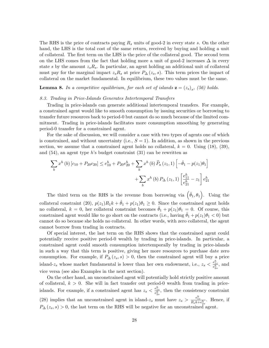The RHS is the price of contracts paying  $R_s$  units of good-2 in every state s. On the other hand, the LHS is the total cost of the same return, received by buying and holding a unit of collateral. The first term on the LHS is the price of the collateral good. The second term on the LHS comes from the fact that holding more a unit of good-2 increases  $\Delta$  in every state  $s$  by the amount  $z_s R_s$ . In particular, an agent holding an additional unit of collateral must pay for the marginal impact  $z_s R_s$  at price  $P_{\Delta}(z_s, s)$ . This term prices the impact of collateral on the market fundamental. In equilibrium, these two values must be the same.

**Lemma 8.** In a competitive equilibrium, for each set of islands  $\mathbf{z} = (z_s)_s$ , (56) holds.

#### 8.3. Trading in Price-Islands Generates Intertemporal Transfers

Trading in price-islands can generate additional intertemporal transfers. For example, a constrained agent would like to smooth consumption by issuing securities or borrowing to transfer future resources back to period-0 but cannot do so much because of the limited commitment. Trading in price-islands facilitates more consumption smoothing by generating period-0 transfer for a constrained agent.

For the sake of discussion, we will consider a case with two types of agents one of which is constrained, and without uncertainty (i.e.,  $S = 1$ ). In addition, as shown in the previous section, we assume that a constrained agent holds no collateral,  $k = 0$ . Using (18), (39), and  $(54)$ , an agent type h's budget constraint  $(31)$  can be rewritten as

$$
\sum_{b} x^{h}(b) [c_{10} + P_{20}c_{20}] \le e_{10}^{h} + P_{20}e_{20}^{h} + \sum_{b} x^{h}(b) \widehat{P}_{a}(z_{1}, 1) \left[ -\widehat{\theta}_{1} - p(z_{1})\theta_{1} \right] + \sum_{b} x^{h}(b) P_{\Delta}(z_{1}, 1) \left[ \frac{e_{11}^{h}}{e_{21}^{h}} - z_{1} \right] e_{21}^{h}
$$

The third term on the RHS is the revenue from borrowing via  $(\hat{\theta}_1, \theta_1)$ . Using the collateral constraint (20),  $p(z_1)R_1k + \hat{\theta}_1 + p(z_1)\theta_1 \geq 0$ . Since the constrained agent holds no collateral,  $k = 0$ , her collateral constraint becomes  $\hat{\theta}_1 + p(z_1)\theta_1 = 0$ . Of course, this constrained agent would like to go short on the contracts (i.e., having  $\theta_1 + p(z_1)\theta_1 < 0$ ) but cannot do so because she holds no collateral. In other words, with zero collateral, the agent cannot borrow from trading in contracts.

Of special interest, the last term on the RHS shows that the constrained agent could potentially receive positive period-0 wealth by trading in price-islands. In particular, a constrained agent could smooth consumption intertemporally by trading in price-islands in such a way that this term is positive, giving her more resources to purchase date zero consumption. For example, if  $P_{\Delta}(z_s, s) > 0$ , then the constrained agent will buy a price island- $z_s$  whose market fundamental is lower than her own endowment, i.e.,  $z_s < \frac{e_{1s}^h}{e_{2s}^h}$ , and vice versa (see also Examples in the next section).

On the other hand, an unconstrained agent will potentially hold strictly positive amount of collateral,  $k > 0$ . She will in fact transfer out period-0 wealth from trading in priceislands. For example, if a constrained agent has  $z_s < \frac{e_{1s}^h}{e_{2s}^h}$ , then the consistency constraint (28) implies that an unconstrained agent in island- $z_s$  must have  $z_s > \frac{e_{1s}^h}{R_s k + e_{2s}^h}$ . Hence, if  $P_{\Delta}(z_s, s) > 0$ , the last term on the RHS will be negative for an unconstrained agent.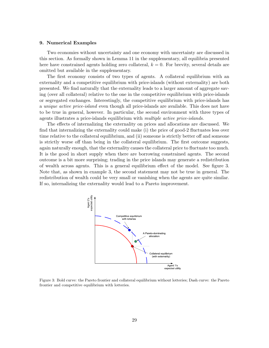#### 9. Numerical Examples

Two economies without uncertainty and one economy with uncertainty are discussed in this section. As formally shown in Lemma 11 in the supplementary, all equilibria presented here have constrained agents holding zero collateral,  $k = 0$ . For brevity, several details are omitted but available in the supplementary.

The first economy consists of two types of agents. A collateral equilibrium with an externality and a competitive equilibrium with price-islands (without externality) are both presented. We find naturally that the externality leads to a larger amount of aggregate saving (over all collateral) relative to the one in the competitive equilibrium with price-islands or segregated exchanges. Interestingly, the competitive equilibrium with price-islands has a *unique active price-island* even though all price-islands are available. This does not have to be true in general, however. In particular, the second environment with three types of agents illustrates a price-islands equilibrium with multiple active price-islands.

The effects of internalizing the externality on prices and allocations are discussed. We find that internalizing the externality could make (i) the price of good-2 fluctuates less over time relative to the collateral equilibrium, and (ii) someone is strictly better off and someone is strictly worse off than being in the collateral equilibrium. The first outcome suggests, again naturally enough, that the externality causes the collateral price to fluctuate too much. It is the good in short supply when there are borrowing constrained agents. The second outcome is a bit more surprising; trading in the price islands may generate a redistribution of wealth across agents. This is a general equilibrium effect of the model. See figure 3. Note that, as shown in example 3, the second statement may not be true in general. The redistribution of wealth could be very small or vanishing when the agents are quite similar. If so, internalizing the externality would lead to a Pareto improvement.



Figure 3: Bold curve: the Pareto frontier and collateral equilibrium without lotteries; Dash curve: the Pareto frontier and competitive equilibrium with lotteries.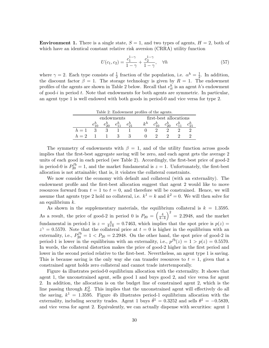**Environment 1.** There is a single state,  $S = 1$ , and two types of agents,  $H = 2$ , both of which have an identical constant relative risk aversion (CRRA) utility function

$$
U(c_1, c_2) = \frac{c_1^{1-\gamma}}{1-\gamma} + \frac{c_2^{1-\gamma}}{1-\gamma}, \quad \forall h \tag{57}
$$

where  $\gamma = 2$ . Each type consists of  $\frac{1}{2}$  fraction of the population, i.e.  $\alpha^h = \frac{1}{2}$  $\frac{1}{2}$ . In addition, the discount factor  $\beta = 1$ . The storage technology is given by  $R = 1$ . The endowment profiles of the agents are shown in Table 2 below. Recall that  $e_{it}^h$  is an agent h's endowment of good- $i$  in period  $t$ . Note that endowments for both agents are symmetric. In particular, an agent type 1 is well endowed with both goods in period-0 and vice versa for type 2.

| Table 2: Endowment profiles of the agents. |            |            |            |            |  |                        |            |  |                       |  |
|--------------------------------------------|------------|------------|------------|------------|--|------------------------|------------|--|-----------------------|--|
|                                            | endowments |            |            |            |  | first-best allocations |            |  |                       |  |
|                                            |            | $e_{20}^h$ | $e_{11}^h$ | $e_{21}^n$ |  | $k^h$                  | $c_{10}^h$ |  | $c_{20}^h$ $c_{11}^h$ |  |
| $h=1$                                      |            |            |            |            |  |                        |            |  |                       |  |
| $h=2$                                      |            |            |            |            |  |                        |            |  |                       |  |

The symmetry of endowments with  $\beta = 1$ , and of the utility function across goods implies that the first-best aggregate saving will be zero, and each agent gets the average 2 units of each good in each period (see Table 2). Accordingly, the first-best price of good-2 in period-0 is  $P_{20}^{fb} = 1$ , and the market fundamental is  $z = 1$ . Unfortunately, the first-best allocation is not attainable; that is, it violates the collateral constraints.

We now consider the economy with default and collateral (with an externality). The endowment profile and the first-best allocation suggest that agent 2 would like to move resources forward from  $t = 1$  to  $t = 0$ , and therefore will be constrained. Hence, we will assume that agents type 2 hold no collateral, i.e.  $k^1 = k$  and  $k^2 = 0$ . We will then solve for an equilibrium  $k$ .

As shown in the supplementary materials, the equilibrium collateral is  $k = 1.3595$ . As a result, the price of good-2 in period 0 is  $P_{20} = \left(\frac{4}{4-k}\right)$  $\big)^2 = 2.2948$ , and the market fundamental in period-1 is  $z = \frac{4}{4+k} = 0.7463$ , which implies that the spot price is  $p(z) =$  $z^{\gamma} = 0.5570$ . Note that the collateral price at  $t = 0$  is higher in the equilibrium with an externality, i.e.,  $P_{20}^{fb} = 1 < P_{20} = 2.2948$ . On the other hand, the spot price of good-2 in period-1 is lower in the equilibrium with an externality, i.e.,  $p^{fb}(z) = 1 > p(z) = 0.5570$ . In words, the collateral distortion makes the price of good-2 higher in the first period and lower in the second period relative to the first-best. Nevertheless, an agent type 1 is saving. This is because saving is the only way she can transfer resources to  $t = 1$ , given that a constrained agent holds zero collateral and cannot trade intertemporally.

Figure 4a illustrates period-0 equilibrium allocation with the externality. It shows that agent 1, the unconstrained agent, sells good 1 and buys good 2, and vice versa for agent 2. In addition, the allocation is on the budget line of constrained agent 2, which is the line passing through  $E_0^2$ . This implies that the unconstrained agent will effectively do all the saving,  $k^1 = 1.3595$ . Figure 4b illustrates period-1 equilibrium allocation with the externality, including security trades. Agent 1 buys  $\hat{\theta}^1 = 0.3252$  and sells  $\theta^1 = -0.5839$ , and vice versa for agent 2. Equivalently, we can actually dispense with securities: agent 1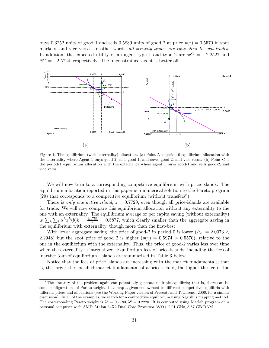buys 0.3252 units of good 1 and sells 0.5839 units of good 2 at price  $p(z) = 0.5570$  in spot markets, and vice versa. In other words, all security trades are equivalent to spot trades. In addition, the expected utility of an agent type 1 and type 2 are  $\mathcal{U}^1 = -2.2527$  and  $\mathcal{U}^2 = -2.5724$ , respectively. The unconstrained agent is better off.



Figure 4: The equilibrium (with externality) allocation. (a) Point A is period-0 equilibrium allocation with the externality where Agent 1 buys good-2, sells good-1, and saves good-2, and vice versa. (b) Point C is the period-1 equilibrium allocation with the externality where agent 1 buys good-1 and sells good-2, and vice versa.

We will now turn to a corresponding competitive equilibrium with price-islands. The equilibrium allocation reported in this paper is a numerical solution to the Pareto program  $(29)$  that corresponds to a competitive equilibrium (without transfers<sup>8</sup>).

There is only one active island,  $z = 0.7729$ , even though all price-islands are available for trade. We will now compare this equilibrium allocation without any externality to the one with an externality. The equilibrium average or per capita saving (without externality) is  $\sum_{h} \sum_{b} \alpha^{h} x^{h}(b) k = \frac{1.1753}{2} = 0.5877$ , which clearly smaller than the aggregate saving in the equilibrium with externality, though more than the first-best.

With lower aggregate saving, the price of good-2 in period 0 is lower ( $P_{20} = 2.0073 <$ 2.2948) but the spot price of good 2 is higher  $(p(z) = 0.5974 > 0.5570)$ , relative to the one in the equilibrium with the externality. Thus, the price of good-2 varies less over time when the externality is internalized. Equilibrium fees of price-islands, including the fees of inactive (out-of equilibrium) islands are summarized in Table 3 below.

Notice that the fees of price islands are increasing with the market fundamentals; that is, the larger the specified market fundamental of a price island, the higher the fee of the

<sup>&</sup>lt;sup>8</sup>The linearity of the problem again can potentially generate multiple equilibria; that is, there can be some configurations of Pareto weights that map a given endowment to different competitive equilibria with different prices and allocations (see the Working Paper version of Prescott and Townsend, 2006, for a similar discussion). In all of the examples, we search for a competitive equilibrium using Negishi's mapping method. The corresponding Pareto weight is  $\lambda^1 = 0.7780, \lambda^2 = 0.2220$ . It is computed using Matlab program on a personal computer with AMD Athlon 64X2 Dual Core Processor 3800+ 2.01 GHz, 3.87 GB RAM.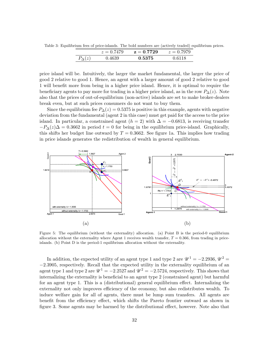Table 3: Equilibrium fees of price-islands. The bold numbers are (actively traded) equilibrium prices.

|            | $z = 0.7479$ | $z = 0.7729$ | $z = 0.7979$ |
|------------|--------------|--------------|--------------|
| $D.(\sim)$ | 4630         | 0.5375       |              |

price island will be. Intuitively, the larger the market fundamental, the larger the price of good 2 relative to good 1. Hence, an agent with a larger amount of good 2 relative to good 1 will benefit more from being in a higher price island. Hence, it is optimal to require the beneficiary agents to pay more for trading in a higher price island, as in the row  $P_{\Delta}(z)$ . Note also that the prices of out-of-equilibrium (non-active) islands are set to make broker-dealers break even, but at such prices consumers do not want to buy them.

Since the equilibrium fee  $P_{\Delta}(z) = 0.5375$  is positive in this example, agents with negative deviation from the fundamental (agent 2 in this case) must get paid for the access to the price island. In particular, a constrained agent  $(h = 2)$  with  $\Delta = -0.6813$ , is receiving transfer  $-P_{\Delta}(z)\Delta = 0.3662$  in period  $t = 0$  for being in the equilibrium price-island. Graphically, this shifts her budget line outward by  $T = 0.3662$ . See figure 1a. This implies how trading in price islands generates the redistribution of wealth in general equilibrium.



Figure 5: The equilibrium (without the externality) allocation. (a) Point B is the period-0 equilibrium allocation without the externality where Agent 1 receives wealth transfer,  $T = 0.366$ , from trading in priceislands. (b) Point D is the period-1 equilibrium allocation without the externality.

In addition, the expected utility of an agent type 1 and type 2 are  $\mathcal{U}^1 = -2.2936, \mathcal{U}^2 =$ −2.3905, respectively. Recall that the expected utility in the externality equilibrium of an agent type 1 and type 2 are  $\mathcal{U}^1 = -2.2527$  and  $\mathcal{U}^2 = -2.5724$ , respectively. This shows that internalizing the externality is beneficial to an agent type 2 (constrained agent) but harmful for an agent type 1. This is a (distributional) general equilibrium effect. Internalizing the externality not only improves efficiency of the economy, but also redistributes wealth. To induce welfare gain for all of agents, there must be lump sum transfers. All agents are benefit from the efficiency effect, which shifts the Pareto frontier outward as shown in figure 3. Some agents may be harmed by the distributional effect, however. Note also that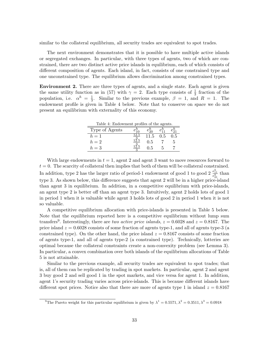similar to the collateral equilibrium, all security trades are equivalent to spot trades.

The next environment demonstrates that it is possible to have multiple active islands or segregated exchanges. In particular, with three types of agents, two of which are constrained, there are two distinct active price islands in equilibrium, each of which consists of different composition of agents. Each island, in fact, consists of one constrained type and one unconstrained type. The equilibrium allows discrimination among constrained types.

Environment 2. There are three types of agents, and a single state. Each agent is given the same utility function as in (57) with  $\gamma = 2$ . Each type consists of  $\frac{1}{3}$  fraction of the population, i.e.  $\alpha^h = \frac{1}{3}$  $\frac{1}{3}$ . Similar to the previous example,  $\beta = 1$ , and  $R = 1$ . The endowment profile is given in Table 4 below. Note that to conserve on space we do not present an equilibrium with externality of this economy.

| Table 4: Endowment profiles of the agents. |  |        |     |     |  |  |  |  |
|--------------------------------------------|--|--------|-----|-----|--|--|--|--|
| Type of Agents                             |  |        |     |     |  |  |  |  |
| $h=1$                                      |  | 11.5   | 0.5 | ).5 |  |  |  |  |
| $h=2$                                      |  | 0.5    |     |     |  |  |  |  |
| $h=3$                                      |  | - 11.5 |     |     |  |  |  |  |

With large endowments in  $t = 1$ , agent 2 and agent 3 want to move resources forward to  $t = 0$ . The scarcity of collateral then implies that both of them will be collateral constrained. In addition, type 2 has the larger ratio of period-1 endowment of good 1 to good 2  $\frac{e_{11}^h}{e_{21}^h}$  than type 3. As shown below, this difference suggests that agent 2 will be in a higher price-island than agent 3 in equilibrium. In addition, in a competitive equilibrium with price-islands, an agent type 2 is better off than an agent type 3. Intuitively, agent 2 holds lots of good 1 in period 1 when it is valuable while agent 3 holds lots of good 2 in period 1 when it is not so valuable.

A competitive equilibrium allocation with price-islands is presented in Table 5 below. Note that the equilibrium reported here is a competitive equilibrium without lump sum transfers<sup>9</sup>. Interestingly, there are two active price islands,  $z = 0.6028$  and  $z = 0.8167$ . The price island  $z = 0.6028$  consists of some fraction of agents type-1, and all of agents type-3 (a constrained type). On the other hand, the price island  $z = 0.8167$  consists of some fraction of agents type-1, and all of agents type-2 (a constrained type). Technically, lotteries are optimal because the collateral constraints create a non-convexity problem (see Lemma 3). In particular, a convex combination over both islands of the equilibrium allocations of Table 5 is not attainable.

Similar to the previous example, all security trades are equivalent to spot trades; that is, all of them can be replicated by trading in spot markets. In particular, agent 2 and agent 3 buy good 2 and sell good 1 in the spot markets, and vice versa for agent 1. In addition, agent 1's security trading varies across price-islands. This is because different islands have different spot prices. Notice also that there are more of agents type 1 in island  $z = 0.8167$ 

<sup>&</sup>lt;sup>9</sup>The Pareto weight for this particular equilibrium is given by  $\lambda^1 = 0.5571, \lambda^2 = 0.3511, \lambda^3 = 0.0918$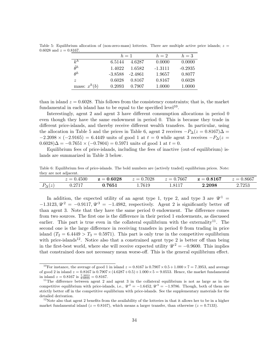|                  | $h=1$     |         | $h=2$     | $h=3$     |
|------------------|-----------|---------|-----------|-----------|
| $k^h$            | 6.5144    | 4.6287  | 0.0000    | 0.0000    |
| $\hat{\theta}^h$ | 1.4022    | 1.6582  | $-1.3111$ | $-0.2935$ |
| $\theta^h$       | $-3.8588$ | -2.4861 | 1.9657    | 0.8077    |
| $\tilde{z}$      | 0.6028    | 0.8167  | 0.8167    | 0.6028    |
| mass: $x^h(b)$   | 0.2093    | 0.7907  | 1.0000    | 1.0000    |

Table 5: Equilibrium allocation of (non-zero-mass) lotteries. There are multiple active price islands;  $z =$ 0.6028 and  $z = 0.8167$ .

than in island  $z = 0.6028$ . This follows from the consistency constraints; that is, the market fundamental in each island has to be equal to the specified level<sup>10</sup>.

Interestingly, agent 2 and agent 3 have different consumption allocations in period 0 even though they have the same endowment in period 0. This is because they trade in different price-islands, and thereby receive different wealth transfers. In particular, using the allocation in Table 5 and the prices in Table 6, agent 2 receives  $-P_{\Delta}(z=0.8167)\Delta =$  $-2.2098 \times (-2.9165) = 6.4449$  units of good 1 at  $t = 0$  while agent 3 receives  $-P_{\Delta}(z = 0.0165)$  $(0.6028)\Delta = -0.7651 \times (-0.7804) = 0.5971$  units of good 1 at  $t = 0$ .

Equilibrium fees of price-islands, including the fees of inactive (out-of equilibrium) islands are summarized in Table 3 below.

Table 6: Equilibrium fees of price-islands. The bold numbers are (actively traded) equilibrium prices. Note: they are not adjacent.

|                 | $z = 0.4500$ | $z = 0.6028$ | $z = 0.7028$ | $z = 0.7667$ | $\rm z=0.8167$ | $z = 0.8667$ |
|-----------------|--------------|--------------|--------------|--------------|----------------|--------------|
| $P_{\Delta}(z)$ | J.2717       | 0.7651       | .7619        | 1.8117       | 2.2098         | 2.7253       |

In addition, the expected utility of an agent type 1, type 2, and type 3 are  $\mathscr{U}^1$  =  $-1.3123, \mathcal{U}^2 = -0.9117, \mathcal{U}^3 = -1.4982$ , respectively. Agent 2 is significantly better off than agent 3. Note that they have the same period 0 endowment. The difference comes from two sources. The first one is the difference in their period 1 endowments, as discussed earlier. This part is true even in the collateral equilibrium with the externality<sup>11</sup>. The second one is the large difference in receiving transfers in period 0 from trading in price island  $(T_2 = 6.4449 > T_3 = 0.5971)$ . This part is only true in the competitive equilibrium with price-islands<sup>12</sup>. Notice also that a constrained agent type 2 is better off than being in the first-best world, where she will receive expected utility  $\mathcal{U}^2 = -0.9600$ . This implies that constrained does not necessary mean worse-off. This is the general equilibrium effect.

<sup>&</sup>lt;sup>10</sup>For instance, the average of good 1 in island  $z = 0.8167$  is  $0.7907 \times 0.5 + 1.000 \times 7 = 7.3953$ , and average of good 2 in island  $z = 0.8167$  is  $0.7907 \times (4.6287 + 0.5) + 1.000 \times 5 = 9.0553$ . Hence, the market fundamental in island  $z = 0.8167$  is  $\frac{7.3953}{9.0553} = 0.8167$ .

 $11$ The difference between agent 2 and agent 3 in the collateral equilibrium is not as large as in the competitive equilibrium with price-islands, i.e.,  $\mathcal{U}^2 = -1.6452, \mathcal{U}^3 = -1.9786$ . Though, both of them are strictly better off in the competitive equilibrium with price-islands. See the supplementary materials for the detailed derivation.

<sup>&</sup>lt;sup>12</sup>Note also that agent 2 benefits from the availability of the lotteries in that it allows her to be in a higher market fundamental island ( $z = 0.8167$ ), which means a larger transfer, than otherwise ( $z = 0.7133$ ).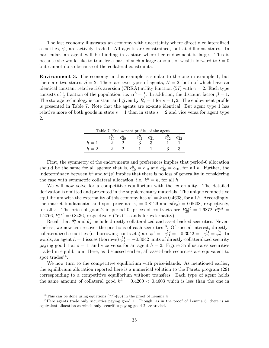The last economy illustrates an economy with uncertainty where directly collateralized securities,  $\psi$ , are actively traded. All agents are constrained, but at different states. In particular, an agent will be binding in a state where her endowment is large. This is because she would like to transfer a part of such a large amount of wealth forward to  $t = 0$ but cannot do so because of the collateral constraints.

Environment 3. The economy in this example is similar to the one in example 1, but there are two states,  $S = 2$ . There are two types of agents,  $H = 2$ , both of which have an identical constant relative risk aversion (CRRA) utility function (57) with  $\gamma = 2$ . Each type consists of  $\frac{1}{2}$  fraction of the population, i.e.  $\alpha^h = \frac{1}{2}$  $\frac{1}{2}$ . In addition, the discount factor  $\beta = 1$ . The storage technology is constant and given by  $R_s = 1$  for  $s = 1, 2$ . The endowment profile is presented in Table 7. Note that the agents are ex-ante identical. But agent type 1 has relative more of both goods in state  $s = 1$  than in state  $s = 2$  and vice versa for agent type 2.

| Table 7: Endowment profiles of the agents. |  |  |  |  |    |  |  |  |
|--------------------------------------------|--|--|--|--|----|--|--|--|
|                                            |  |  |  |  | 10 |  |  |  |
| $h=1$                                      |  |  |  |  |    |  |  |  |
| $n=2$                                      |  |  |  |  |    |  |  |  |

First, the symmetry of the endowments and preferences implies that period-0 allocation should be the same for all agents; that is,  $c_{10}^h = c_{10}$  and  $c_{20}^h = c_{20}$ , for all h. Further, the indeterminacy between  $k^h$  and  $\theta^h(s)$  implies that there is no loss of generality in considering the case with symmetric collateral allocation, i.e.  $k^h = k$ , for all h.

We will now solve for a competitive equilibrium with the externality. The detailed derivation is omitted and presented in the supplementary materials. The unique competitive equilibrium with the externality of this economy has  $k^h = k \approx 0.4603$ , for all h. Accordingly, the market fundamental and spot price are  $z_s = 0.8129$  and  $p(z_s) = 0.6608$ , respectively, for all s. The price of good-2 in period 0, prices of contracts are  $P_{20}^{ext} = 1.6872$ ,  $\hat{P}_{s}^{ext} =$ 1.2766,  $P_s^{ext} = 0.8436$ , respectively ("ext" stands for externality).

Recall that  $\hat{\theta}^h_s$  and  $\theta^h_s$  include directly-collateralized and asset-backed securities. Nevertheless, we now can recover the positions of each securities<sup>13</sup>. Of special interest, directlycollateralized securities (or borrowing contracts) are  $\hat{\psi}_1^1 = -\hat{\psi}_1^2 = -0.3042 = -\hat{\psi}_2^1 = \hat{\psi}_2^2$ . In words, an agent  $h = 1$  issues (borrows)  $\hat{\psi}_1^1 = -0.3042$  units of directly-collateralized security paying good 1 at  $s = 1$ , and vice versa for an agent  $h = 2$ . Figure 3a illustrates securities traded in equilibrium. Here, as discussed earlier, all asset-back securities are equivalent to spot trades<sup>14</sup>.

We now turn to the competitive equilibrium with price-islands. As mentioned earlier, the equilibrium allocation reported here is a numerical solution to the Pareto program (29) corresponding to a competitive equilibrium without transfers. Each type of agent holds the same amount of collateral good  $k^h = 0.4200 < 0.4603$  which is less than the one in

<sup>&</sup>lt;sup>13</sup>This can be done using equations  $(77)-(80)$  in the proof of Lemma 4

<sup>&</sup>lt;sup>14</sup>Here agents trade only securities paying good 1. Though, as in the proof of Lemma 6, there is an equivalent allocation at which only securities paying good 2 are traded.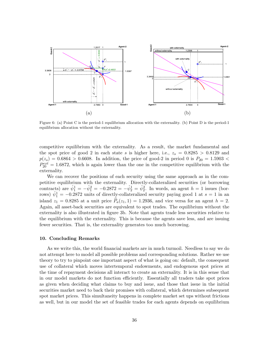

Figure 6: (a) Point C is the period-1 equilibrium allocation with the externality. (b) Point D is the period-1 equilibrium allocation without the externality.

competitive equilibrium with the externality. As a result, the market fundamental and the spot price of good 2 in each state s is higher here, i.e.,  $z_s = 0.8285 > 0.8129$  and  $p(z_s) = 0.6864 > 0.6608$ . In addition, the price of good-2 in period 0 is  $P_{20} = 1.5903 <$  $P_{20}^{ext} = 1.6872$ , which is again lower than the one in the competitive equilibrium with the externality.

We can recover the positions of each security using the same approach as in the competitive equilibrium with the externality. Directly-collateralized securities (or borrowing contracts) are  $\hat{\psi}_1^1 = -\hat{\psi}_1^2 = -0.2872 = -\hat{\psi}_2^1 = \hat{\psi}_2^2$ . In words, an agent  $h = 1$  issues (borrows)  $\hat{\psi}_1^1 = -0.2872$  units of directly-collateralized security paying good 1 at  $s = 1$  in an island  $z_1 = 0.8285$  at a unit price  $\hat{P}_a(z_1, 1) = 1.2936$ , and vice versa for an agent  $h = 2$ . Again, all asset-back securities are equivalent to spot trades. The equilibrium without the externality is also illustrated in figure 3b. Note that agents trade less securities relative to the equilibrium with the externality. This is because the agents save less, and are issuing fewer securities. That is, the externality generates too much borrowing.

#### 10. Concluding Remarks

As we write this, the world financial markets are in much turmoil. Needless to say we do not attempt here to model all possible problems and corresponding solutions. Rather we use theory to try to pinpoint one important aspect of what is going on: default, the consequent use of collateral which moves intertemporal endowments, and endogenous spot prices at the time of repayment decisions all interact to create an externality. It is in this sense that in our model markets do not function efficiently. Essentially all traders take spot prices as given when deciding what claims to buy and issue, and those that issue in the initial securities market need to back their promises with collateral, which determines subsequent spot market prices. This simultaneity happens in complete market set ups without frictions as well, but in our model the set of feasible trades for each agents depends on equilibrium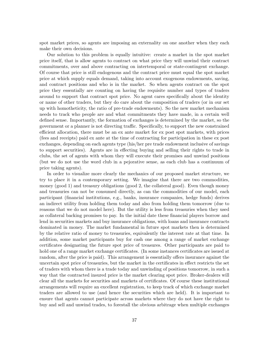spot market prices, so agents are imposing an externality on one another when they each make their own decisions.

Our solution to this problem is equally intuitive: create a market in the spot market price itself, that is allow agents to contract on what price they will unwind their contract commitments, over and above contracting on intertemporal or state-contingent exchange. Of course that price is still endogenous and the contract price must equal the spot market price at which supply equals demand, taking into account exogenous endowments, saving, and contract positions and who is in the market. So when agents contract on the spot price they essentially are counting on having the requisite number and types of traders around to support that contract spot price. No agent cares specifically about the identity or name of other traders, but they do care about the composition of traders (or in our set up with homotheticity, the ratio of pre-trade endowments). So the new market mechanism needs to track who people are and what commitments they have made, in a certain well defined sense. Importantly, the formation of exchanges is determined by the market, so the government or a planner is not directing traffic. Specifically, to support the new constrained efficient allocation, there must be an ex ante market for ex post spot markets, with prices (fees and receipts) paid ex ante at the time of contracting for participation in these ex post exchanges, depending on each agents type (his/her pre trade endowment inclusive of savings to support securities). Agents are in effecting buying and selling their rights to trade in clubs, the set of agents with whom they will execute their promises and unwind positions (but we do not use the word club in a pejorative sense, as each club has a continuum of price taking agents).

In order to visualize more clearly the mechanics of our proposed market structure, we try to place it in a contemporary setting. We imagine that there are two commodities, money (good 1) and treasury obligations (good 2, the collateral good). Even though money and treasuries can not be consumed directly, as can the commodities of our model, each participant (financial institutions, e.g., banks, insurance companies, hedge funds) derives an indirect utility from holding them today and also from holding them tomorrow (due to reasons that we do not model here). But the utility is less from treasuries when they used as collateral backing promises to pay. In the initial date these financial players borrow and lend in securities markets and buy insurance obligations, with loans and insurance contracts dominated in money. The market fundamental in future spot markets then is determined by the relative ratio of money to treasuries, equivalently the interest rate at that time. In addition, some market participants buy for cash one among a range of market exchange certificates designating the future spot price of treasures. Other participants are paid to hold one of a range market exchange certificates. (In some instances certificates are issued at random, after the price is paid). This arrangement is essentially offers insurance against the uncertain spot price of treasuries, but the market in the certificates in effect restricts the set of traders with whom there is a trade today and unwinding of positions tomorrow, in such a way that the contracted insured price is the market clearing spot price. Broker-dealers will clear all the markets for securities and markets of certificates. Of course these institutional arrangements will require an excellent registration, to keep track of which exchange market traders are allowed to use (and hence the securities which are held). It is important to ensure that agents cannot participate across markets where they do not have the right to buy and sell and unwind trades, to forestall the obvious arbitrage when multiple exchanges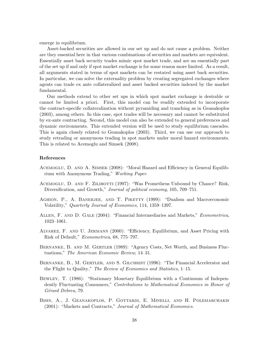emerge in equilibrium.

Asset-backed securities are allowed in our set up and do not cause a problem. Neither are they essential here in that various combinations of securities and markets are equivalent. Essentially asset back security trades mimic spot market trade, and are an essentially part of the set up if and only if spot market exchange is for some reason more limited. As a result, all arguments stated in terms of spot markets can be restated using asset back securities. In particular, we can solve the externality problem by creating segregated exchanges where agents can trade ex ante collateralized and asset backed securities indexed by the market fundamental.

Our methods extend to other set ups in which spot market exchange is desirable or cannot be limited a priori. First, this model can be readily extended to incorporate the contract-specific collateralization without pyramiding and tranching as in Geanakoplos (2003), among others. In this case, spot trades will be necessary and cannot be substituted by ex-ante contracting. Second, this model can also be extended to general preferences and dynamic environments. This extended version will be used to study equilibrium cascades. This is again closely related to Geanakoplos (2003). Third, we can use our approach to study retrading or anonymous trading in spot markets under moral hazard environments. This is related to Acemoglu and Simsek (2008).

#### References

- Acemoglu, D. and A. Simsek (2008): "Moral Hazard and Efficiency in General Equilibrium with Anonymous Trading," Working Paper.
- Acemoglu, D. and F. Zilibotti (1997): "Was Prometheus Unbound by Chance? Risk, Diversification, and Growth," Journal of political economy, 105, 709–751.
- AGHION, P., A. BANERJEE, AND T. PIKETTY (1999): "Dualism and Macroeconomic Volatility," Quarterly Journal of Economics, 114, 1359–1397.
- Allen, F. and D. Gale (2004): "Financial Intermediaries and Markets," Econometrica, 1023–1061.
- Alvarez, F. and U. Jermann (2000): "Efficiency, Equilibrium, and Asset Pricing with Risk of Default," Econometrica, 68, 775–797.
- Bernanke, B. and M. Gertler (1989): "Agency Costs, Net Worth, and Business Fluctuations," The American Economic Review, 14–31.
- BERNANKE, B., M. GERTLER, AND S. GILCHRIST (1996): "The Financial Accelerator and the Flight to Quality," The Review of Economics and Statistics, 1–15.
- Bewley, T. (1986): "Stationary Monetary Equilibrium with a Continuum of Independently Fluctuating Consumers," Contributions to Mathematical Economics in Honor of Gérard Debreu, 79.
- Bisin, A., J. Geanakoplos, P. Gottardi, E. Minelli, and H. Polemarchakis (2001): "Markets and Contracts," Journal of Mathematical Economics.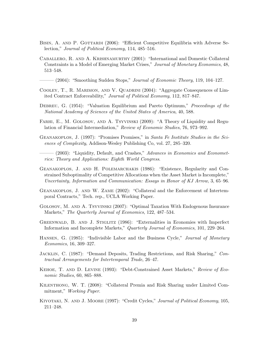- BISIN, A. AND P. GOTTARDI (2006): "Efficient Competitive Equilibria with Adverse Selection," Journal of Political Economy, 114, 485–516.
- Caballero, R. and A. Krishnamurthy (2001): "International and Domestic Collateral Constraints in a Model of Emerging Market Crises," Journal of Monetary Economics, 48, 513–548.
- $-(2004)$ : "Smoothing Sudden Stops," Journal of Economic Theory, 119, 104–127.
- Cooley, T., R. Marimon, and V. Quadrini (2004): "Aggregate Consequences of Limited Contract Enforceability," Journal of Political Economy, 112, 817–847.
- DEBREU, G. (1954): "Valuation Equilibrium and Pareto Optimum," Proceedings of the National Academy of Sciences of the United States of America, 40, 588.
- Farhi, E., M. Golosov, and A. Tsyvinski (2009): "A Theory of Liquidity and Regulation of Financial Intermediation," Review of Economic Studies, 76, 973–992.
- Geanakoplos, J. (1997): "Promises Promises," in Santa Fe Institute Studies in the Sciences of Complexity, Addison-Wesley Publishing Co, vol. 27, 285–320.
- $-(2003)$ : "Liquidity, Default, and Crashes," Advances in Economics and Econometrics: Theory and Applications: Eighth World Congress.
- Geanakoplos, J. and H. Polemarchakis (1986): "Existence, Regularity and Constrained Suboptimality of Competitive Allocations when the Asset Market is Incomplete," Uncertainty, Information and Communication: Essays in Honor of KJ Arrow, 3, 65–96.
- Geanakoplos, J. and W. Zame (2002): "Collateral and the Enforcement of Intertemporal Contracts," Tech. rep., UCLA Working Paper.
- Golosov, M. and A. Tsyvinski (2007): "Optimal Taxation With Endogenous Insurance Markets," The Quarterly Journal of Economics, 122, 487–534.
- GREENWALD, B. AND J. STIGLITZ (1986): "Externalities in Economies with Imperfect Information and Incomplete Markets," Quarterly Journal of Economics, 101, 229–264.
- HANSEN, G. (1985): "Indivisible Labor and the Business Cycle," *Journal of Monetary* Economics, 16, 309–327.
- Jacklin, C. (1987): "Demand Deposits, Trading Restrictions, and Risk Sharing," Contractual Arrangements for Intertemporal Trade, 26–47.
- Kehoe, T. and D. Levine (1993): "Debt-Constrained Asset Markets," Review of Economic Studies, 60, 865–888.
- Kilenthong, W. T. (2008): "Collateral Premia and Risk Sharing under Limited Commitment," Working Paper.
- KIYOTAKI, N. AND J. MOORE (1997): "Credit Cycles," *Journal of Political Economy*, 105, 211–248.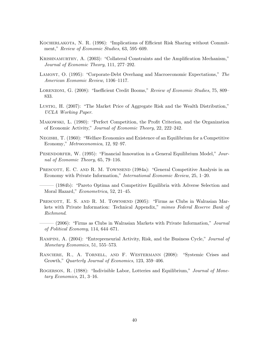- KOCHERLAKOTA, N. R. (1996): "Implications of Efficient Risk Sharing without Commitment," Review of Economic Studies, 63, 595–609.
- Krishnamurthy, A. (2003): "Collateral Constraints and the Amplification Mechanism," Journal of Economic Theory, 111, 277–292.
- Lamont, O. (1995): "Corporate-Debt Overhang and Macroeconomic Expectations," The American Economic Review, 1106–1117.
- LORENZONI, G. (2008): "Inefficient Credit Booms," Review of Economic Studies, 75, 809– 833.
- Lustig, H. (2007): "The Market Price of Aggregate Risk and the Wealth Distribution," UCLA Working Paper.
- Makowski, L. (1980): "Perfect Competition, the Profit Criterion, and the Organization of Economic Activity," Journal of Economic Theory, 22, 222–242.
- Negishi, T. (1960): "Welfare Economics and Existence of an Equilibrium for a Competitive Economy," Metroeconomica, 12, 92–97.
- PESENDORFER, W. (1995): "Financial Innovation in a General Equilibrium Model," Journal of Economic Theory, 65, 79–116.
- PRESCOTT, E. C. AND R. M. TOWNSEND (1984a): "General Competitive Analysis in an Economy with Private Information," International Economic Review, 25, 1–20.
- (1984b): "Pareto Optima and Competitive Equilibria with Adverse Selection and Moral Hazard," Econometrica, 52, 21–45.
- PRESCOTT, E. S. AND R. M. TOWNSEND (2005): "Firms as Clubs in Walrasian Markets with Private Information: Technical Appendix," mimeo Federal Reserve Bank of Richmond.
- $-$  (2006): "Firms as Clubs in Walrasian Markets with Private Information," *Journal* of Political Economy, 114, 644–671.
- RAMPINI, A. (2004): "Entrepreneurial Activity, Risk, and the Business Cycle," Journal of Monetary Economics, 51, 555–573.
- Ranciere, R., A. Tornell, and F. Westermann (2008): "Systemic Crises and Growth," Quarterly Journal of Economics, 123, 359–406.
- ROGERSON, R. (1988): "Indivisible Labor, Lotteries and Equilibrium," Journal of Monetary Economics, 21, 3–16.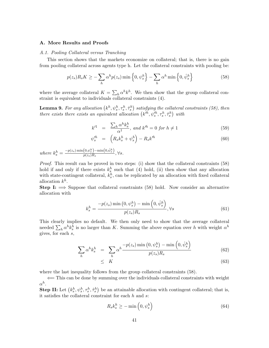#### A. More Results and Proofs

#### A.1. Pooling Collateral versus Tranching

This section shows that the markets economize on collateral; that is, there is no gain from pooling collateral across agents type h. Let the collateral constraints with pooling be:

$$
p(z_s)R_sK \ge -\sum_h \alpha^h p(z_s) \min\left\{0, \psi_s^h\right\} - \sum_h \alpha^h \min\left\{0, \hat{\psi}_s^h\right\} \tag{58}
$$

where the average collateral  $K = \sum_h \alpha^h k^h$ . We then show that the group collateral constraint is equivalent to individuals collateral constraints (4).

**Lemma 9.** For any allocation  $(k^h, \psi^h_s, \tau^h_s, \hat{\tau}^h_s)$  satisfying the collateral constraints (58), then there exists there exists an equivalent allocation  $(k'^h, \psi'^h_s, \tau^h_s, \hat{\tau}^h_s)$  with

$$
k^{\prime 1} = \frac{\sum_{h} \alpha^{h} k_{s}^{h}}{\alpha^{1}}, \text{ and } k^{\prime h} = 0 \text{ for } h \neq 1
$$
 (59)

$$
\psi_s^{\prime h} = \left( R_s k_s^h + \psi_s^h \right) - R_s k^{\prime h} \tag{60}
$$

where  $k_s^h = \frac{-p(z_s)\min(0,\psi_s^h)-\min(0,\hat{\psi}_s^h)}{p(z_s)R_s}$  $\frac{\sqrt{0.95} \sin \left(\frac{0.06}{10.5}\right)}{p(z_s)R_s}, \forall s.$ 

Proof. This result can be proved in two steps: (i) show that the collateral constraints (58) hold if and only if there exists  $k_s^h$  such that (4) hold, (ii) then show that any allocation with state-contingent collateral,  $k_s^h$ , can be replicated by an allocation with fixed collateral allocation  $k^h$ .

**Step I:**  $\implies$  Suppose that collateral constraints (58) hold. Now consider an alternative allocation with

$$
k_s^h = \frac{-p(z_s)\min\left(0, \psi_s^h\right) - \min\left(0, \hat{\psi}_s^h\right)}{p(z_s)R_s}, \forall s
$$
\n
$$
(61)
$$

This clearly implies no default. We then only need to show that the average collateral needed  $\sum_h \alpha^h k_s^h$  is no larger than K. Summing the above equation over h with weight  $\alpha^h$ gives, for each  $s$ ,

$$
\sum_{h} \alpha^{h} k_s^{h} = \sum_{h} \alpha^{h} \frac{-p(z_s) \min(0, \psi_s^h) - \min(0, \hat{\psi}_s^h)}{p(z_s) R_s}
$$
(62)

$$
\leq K \tag{63}
$$

where the last inequality follows from the group collateral constraints (58).

⇐= This can be done by summing over the individuals collateral constraints with weight  $\alpha^h.$ 

Step II: Let  $(k_s^h, \psi_s^h, \tau_s^h, \hat{\tau}_s^h)$  be an attainable allocation with contingent collateral; that is, it satisfies the collateral constraint for each  $h$  and  $s$ :

$$
R_s k_s^h \ge -\min\left(0, \psi_s^h\right) \tag{64}
$$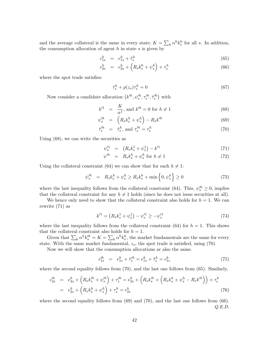and the average collateral is the same in every state;  $K = \sum_h \alpha^h k_s^h$  for all s. In addition, the consumption allocation of agent  $h$  in state  $s$  is given by

$$
c_{1s}^h = e_{1s}^h + \hat{\tau}_s^h \tag{65}
$$

$$
c_{2s}^h = e_{2s}^h + \left(R_s k_s^h + \psi_s^h\right) + \tau_s^h \tag{66}
$$

where the spot trade satisfies:

$$
\hat{\tau}_s^h + p(z_s)\tau_s^h = 0\tag{67}
$$

Now consider a candidate allocation  $(k'^h, \psi_s'^h, \tau_s'^h, \hat{\tau}_s'^h)$  with

$$
k'^1 = \frac{K}{\alpha^1}, \text{ and } k'^h = 0 \text{ for } h \neq 1 \tag{68}
$$

$$
\psi_s^{\prime h} = \left( R_s k_s^h + \psi_s^h \right) - R_s k^{\prime h} \tag{69}
$$

$$
\hat{\tau}_s^{\prime h} = \hat{\tau}_s^h, \text{ and } \tau_s^{\prime h} = \tau_s^h \tag{70}
$$

Using (68), we can write the securities as

$$
\psi_s^{\prime 1} = (R_s k_s^1 + \psi_s^1) - k^{\prime 1} \tag{71}
$$

$$
\psi'^h = R_s k_s^h + \psi_s^h \text{ for } h \neq 1 \tag{72}
$$

Using the collateral constraint (64) we can show that for each  $h \neq 1$ :

$$
\psi_s^{\prime h} = R_s k_s^h + \psi_s^h \ge R_s k_s^h + \min\left\{0, \psi_s^h\right\} \ge 0 \tag{73}
$$

where the last inequality follows from the collateral constraint (64). This,  $\psi_s^{\prime h} \geq 0$ , implies that the collateral constraint for any  $h \neq 1$  holds (since he does not issue securities at all).

We hence only need to show that the collateral constraint also holds for  $h = 1$ . We can rewrite (71) as

$$
k'^1 = \left(R_s k_s^1 + \psi_s^1\right) - \psi_s'^1 \ge -\psi_s'^1 \tag{74}
$$

where the last inequality follows from the collateral constraint (64) for  $h = 1$ . This shows that the collateral constraint also holds for  $h = 1$ .

Given that  $\sum_h \alpha^h k_s^{th} = K = \sum_h \alpha^h k_s^h$ , the market fundamentals are the same for every state. With the same market fundamental,  $z_s$ , the spot trade is satisfied, using (70).

Now we will show that the consumption allocations ar also the same.

$$
c_{1s}^{\prime h} = e_{1s}^h + \hat{\tau}_s^{\prime h} = e_{1s}^h + \hat{\tau}_s^h = c_{1s}^h \tag{75}
$$

where the second equality follows from (70), and the last one follows from (65). Similarly,

$$
c_{2s}^{\prime h} = e_{2s}^{h} + \left(R_{s}k_{s}^{\prime h} + \psi_{s}^{\prime h}\right) + \tau_{s}^{\prime h} = e_{2s}^{h} + \left(R_{s}k_{s}^{\prime h} + \left(R_{s}k_{s}^{h} + \psi_{s}^{h} - R_{s}k^{\prime h}\right)\right) + \tau_{s}^{h}
$$
  
=  $e_{2s}^{h} + \left(R_{s}k_{s}^{h} + \psi_{s}^{h}\right) + \tau_{s}^{h} = c_{2s}^{h}$  (76)

where the second equality follows from  $(69)$  and  $(70)$ , and the last one follows from  $(66)$ . Q.E.D.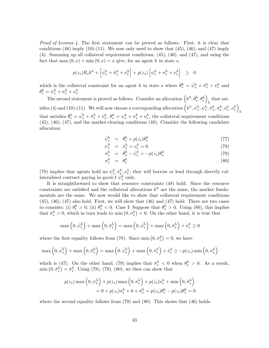Proof of Lemma 4. The first statement can be proved as follows. First, it is clear that conditions  $(48)$  imply  $(10)-(11)$ . We now only need to show that  $(45)$ ,  $(46)$ , and  $(47)$  imply (4). Summing up all collateral requirement conditions, (45), (46), and (47), and using the fact that max  $(0, x) + \min(0, x) = x$  give, for an agent h in state s,

$$
p(z_s)R_sk^h + \left[\hat{\psi}_s^h + \hat{\sigma}_s^h + \hat{\nu}_s^h\right] + p(z_s)\left[\psi_s^h + \sigma_s^h + \nu_s^h\right] \geq 0
$$

which is the collateral constraint for an agent h in state s where  $\hat{\theta}^h_s = \hat{\psi}^h_s + \hat{\sigma}^h_s + \hat{\nu}^h_s$  and  $\theta_s^h = \psi_s^h + \sigma_s^h + \nu_s^h.$ 

The second statement is proved as follows. Consider an allocation  $(k^h, \hat{\theta}_s^h, \theta_s^h)$ that satisfies (4) and (10)-(11). We will now choose a corresponding allocation  $(k^h, \hat{\psi}_s^h, \hat{\psi}_s^h, \hat{\sigma}_s^h, \sigma_s^h, \hat{\nu}_s^h, \nu_s^h)$  $\boldsymbol{h}$ that satisfies  $\hat{\theta}_{s}^{h} = \hat{\psi}_{s}^{h} + \hat{\sigma}_{s}^{h} + \hat{\nu}_{s}^{h}$ ,  $\theta_{s}^{h} = \psi_{s}^{h} + \sigma_{s}^{h} + \nu_{s}^{h}$ , the collateral requirement conditions (45), (46), (47), and the market-clearing conditions (48). Consider the following candidate allocation:

$$
\hat{\psi}_s^h = \hat{\theta}_s^h + p(z_s)\theta_s^h \tag{77}
$$

$$
\psi_s^h = \dot{\nu}_s^h = \nu_s^h = 0 \tag{78}
$$

$$
\hat{\sigma}_s^h = \hat{\theta}_s^h - \hat{\psi}_s^h = -p(z_s)\theta_s^h \tag{79}
$$

$$
\sigma_s^h = \theta_s^h \tag{80}
$$

(78) implies that agents hold no  $\psi_s^h, \hat{\nu}_s^h, \nu_s^h$ ; they will borrow or lend through directly collateralized contract paying in good-1  $\tilde{\psi}_s^h$  only.

It is straightforward to show that resource constraints (48) hold. Since the resource constraints are satisfied and the collateral allocations  $k^h$  are the same, the market fundamentals are the same. We now would like to show that collateral requirement conditions  $(45)$ ,  $(46)$ ,  $(47)$  also hold. First, we will show that  $(46)$  and  $(47)$  hold. There are two cases to consider; (i)  $\theta_s^h > 0$ , (ii)  $\theta_s^h < 0$ . Case I: Suppose that  $\theta_s^h > 0$ . Using (80), this implies that  $\sigma_s^h > 0$ , which in turn leads to min  $(0, \sigma_s^h) = 0$ . On the other hand, it is true that

$$
\max\left(0, \hat{\psi}_s^h\right) + \max\left(0, \hat{\sigma}_s^h\right) = \max\left(0, \hat{\psi}_s^h\right) + \max\left(0, \hat{\sigma}_s^h\right) + \hat{\nu}_s^h \ge 0
$$

where the first equality follows from (78). Since  $\min(0, \sigma_s^h) = 0$ , we have

$$
\max\left(0, \hat{\psi}_s^h\right) + \max\left(0, \hat{\sigma}_s^h\right) = \max\left(0, \hat{\psi}_s^h\right) + \max\left(0, \hat{\sigma}_s^h\right) + \hat{\nu}_s^h \ge -p(z_s) \min\left(0, \sigma_s^h\right)
$$

which is (47). On the other hand, (79) implies that  $\hat{\sigma}_s^h < 0$  when  $\theta_s^h > 0$ . As a result,  $\min(0, \hat{\sigma}_s^h) = \hat{\sigma}_s^h$ . Using (78), (79), (80), we then can show that

$$
p(z_s) \max\left(0, \psi_s^h\right) + p(z_s) \max\left(0, \sigma_s^h\right) + p(z_s)\nu_s^h + \min\left(0, \hat{\sigma}_s^h\right)
$$

$$
= 0 + p(z_s)\sigma_s^h + 0 + \hat{\sigma}_s^h = p(z_s)\theta_s^h - p(z_s)\theta_s^h = 0
$$

where the second equality follows from  $(79)$  and  $(80)$ . This shows that  $(46)$  holds.